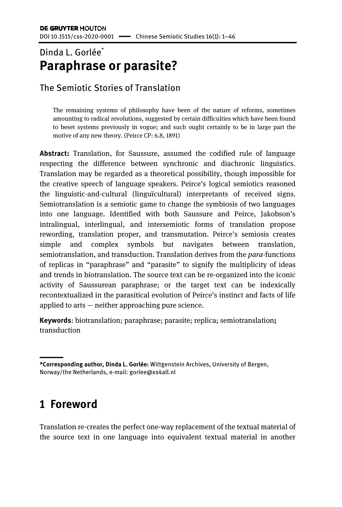### Dinda L. Gorlée<sup>\*</sup> **Paraphrase or parasite?**

### The Semiotic Stories of Translation

The remaining systems of philosophy have been of the nature of reforms, sometimes amounting to radical revolutions, suggested by certain difficulties which have been found to beset systems previously in vogue; and such ought certainly to be in large part the motive of any new theory. (Peirce CP: 6.8, 1891)

**Abstract:** Translation, for Saussure, assumed the codified rule of language respecting the difference between synchronic and diachronic linguistics. Translation may be regarded as a theoretical possibility, though impossible for the creative speech of language speakers. Peirce's logical semiotics reasoned the linguistic-and-cultural (linguïcultural) interpretants of received signs. Semiotranslation is a semiotic game to change the symbiosis of two languages into one language. Identified with both Saussure and Peirce, Jakobson's intralingual, interlingual, and intersemiotic forms of translation propose rewording, translation proper, and transmutation. Peirce's semiosis creates simple and complex symbols but navigates between translation, semiotranslation, and transduction. Translation derives from the *para*-functions of replicas in "paraphrase" and "parasite" to signify the multiplicity of ideas and trends in biotranslation. The source text can be re-organized into the iconic activity of Saussurean paraphrase; or the target text can be indexically recontextualized in the parasitical evolution of Peirce's instinct and facts of life applied to arts — neither approaching pure science.

**Keywords**: biotranslation; paraphrase; parasite; replica; semiotranslation**;**  transduction

### **1 Foreword**

Translation re-creates the perfect one-way replacement of the textual material of the source text in one language into equivalent textual material in another

<sup>———</sup> **\*Corresponding author, Dinda L. Gorlée:** Wittgenstein Archives, University of Bergen, Norway/the Netherlands, e-mail: gorlee@xs4all.nl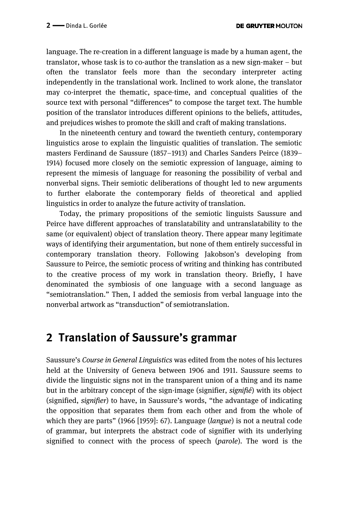language. The re-creation in a different language is made by a human agent, the translator, whose task is to co-author the translation as a new sign-maker – but often the translator feels more than the secondary interpreter acting independently in the translational work. Inclined to work alone, the translator may co-interpret the thematic, space-time, and conceptual qualities of the source text with personal "differences" to compose the target text. The humble position of the translator introduces different opinions to the beliefs, attitudes, and prejudices wishes to promote the skill and craft of making translations.

In the nineteenth century and toward the twentieth century, contemporary linguistics arose to explain the linguistic qualities of translation. The semiotic masters Ferdinand de Saussure (1857–1913) and Charles Sanders Peirce (1839– 1914) focused more closely on the semiotic expression of language, aiming to represent the mimesis of language for reasoning the possibility of verbal and nonverbal signs. Their semiotic deliberations of thought led to new arguments to further elaborate the contemporary fields of theoretical and applied linguistics in order to analyze the future activity of translation.

Today, the primary propositions of the semiotic linguists Saussure and Peirce have different approaches of translatability and untranslatability to the same (or equivalent) object of translation theory. There appear many legitimate ways of identifying their argumentation, but none of them entirely successful in contemporary translation theory. Following Jakobson's developing from Saussure to Peirce, the semiotic process of writing and thinking has contributed to the creative process of my work in translation theory. Briefly, I have denominated the symbiosis of one language with a second language as "semiotranslation." Then, I added the semiosis from verbal language into the nonverbal artwork as "transduction" of semiotranslation.

### **2 Translation of Saussure's grammar**

Saussure's *Course in General Linguistics* was edited from the notes of his lectures held at the University of Geneva between 1906 and 1911. Saussure seems to divide the linguistic signs not in the transparent union of a thing and its name but in the arbitrary concept of the sign-image (signifier, *signifié*) with its object (signified, *signifier*) to have, in Saussure's words, "the advantage of indicating the opposition that separates them from each other and from the whole of which they are parts" (1966 [1959]: 67). Language (*langue*) is not a neutral code of grammar, but interprets the abstract code of signifier with its underlying signified to connect with the process of speech (*parole*). The word is the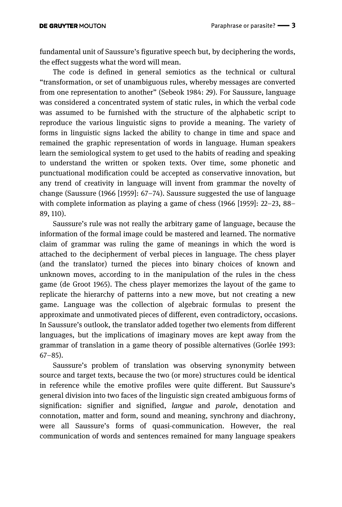fundamental unit of Saussure's figurative speech but, by deciphering the words, the effect suggests what the word will mean.

The code is defined in general semiotics as the technical or cultural "transformation, or set of unambiguous rules, whereby messages are converted from one representation to another" (Sebeok 1984: 29). For Saussure, language was considered a concentrated system of static rules, in which the verbal code was assumed to be furnished with the structure of the alphabetic script to reproduce the various linguistic signs to provide a meaning. The variety of forms in linguistic signs lacked the ability to change in time and space and remained the graphic representation of words in language. Human speakers learn the semiological system to get used to the habits of reading and speaking to understand the written or spoken texts. Over time, some phonetic and punctuational modification could be accepted as conservative innovation, but any trend of creativity in language will invent from grammar the novelty of change (Saussure (1966 [1959]: 67–74). Saussure suggested the use of language with complete information as playing a game of chess (1966 [1959]: 22–23, 88– 89, 110).

Saussure's rule was not really the arbitrary game of language, because the information of the formal image could be mastered and learned. The normative claim of grammar was ruling the game of meanings in which the word is attached to the decipherment of verbal pieces in language. The chess player (and the translator) turned the pieces into binary choices of known and unknown moves, according to in the manipulation of the rules in the chess game (de Groot 1965). The chess player memorizes the layout of the game to replicate the hierarchy of patterns into a new move, but not creating a new game. Language was the collection of algebraic formulas to present the approximate and unmotivated pieces of different, even contradictory, occasions. In Saussure's outlook, the translator added together two elements from different languages, but the implications of imaginary moves are kept away from the grammar of translation in a game theory of possible alternatives (Gorlée 1993: 67–85).

Saussure's problem of translation was observing synonymity between source and target texts, because the two (or more) structures could be identical in reference while the emotive profiles were quite different. But Saussure's general division into two faces of the linguistic sign created ambiguous forms of signification: signifier and signified, *langue* and *parole*, denotation and connotation, matter and form, sound and meaning, synchrony and diachrony, were all Saussure's forms of quasi-communication. However, the real communication of words and sentences remained for many language speakers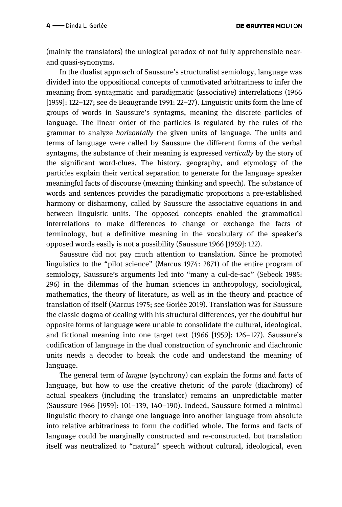(mainly the translators) the unlogical paradox of not fully apprehensible nearand quasi-synonyms.

In the dualist approach of Saussure's structuralist semiology, language was divided into the oppositional concepts of unmotivated arbitrariness to infer the meaning from syntagmatic and paradigmatic (associative) interrelations (1966 [1959]: 122–127; see de Beaugrande 1991: 22–27). Linguistic units form the line of groups of words in Saussure's syntagms, meaning the discrete particles of language. The linear order of the particles is regulated by the rules of the grammar to analyze *horizontally* the given units of language. The units and terms of language were called by Saussure the different forms of the verbal syntagms, the substance of their meaning is expressed *vertically* by the story of the significant word-clues. The history, geography, and etymology of the particles explain their vertical separation to generate for the language speaker meaningful facts of discourse (meaning thinking and speech). The substance of words and sentences provides the paradigmatic proportions a pre-established harmony or disharmony, called by Saussure the associative equations in and between linguistic units. The opposed concepts enabled the grammatical interrelations to make differences to change or exchange the facts of terminology, but a definitive meaning in the vocabulary of the speaker's opposed words easily is not a possibility (Saussure 1966 [1959]: 122).

Saussure did not pay much attention to translation. Since he promoted linguistics to the "pilot science" (Marcus 1974: 2871) of the entire program of semiology, Saussure's arguments led into "many a cul-de-sac" (Sebeok 1985: 296) in the dilemmas of the human sciences in anthropology, sociological, mathematics, the theory of literature, as well as in the theory and practice of translation of itself (Marcus 1975; see Gorlée 2019). Translation was for Saussure the classic dogma of dealing with his structural differences, yet the doubtful but opposite forms of language were unable to consolidate the cultural, ideological, and fictional meaning into one target text (1966 [1959]: 126–127). Saussure's codification of language in the dual construction of synchronic and diachronic units needs a decoder to break the code and understand the meaning of language.

The general term of *langue* (synchrony) can explain the forms and facts of language, but how to use the creative rhetoric of the *parole* (diachrony) of actual speakers (including the translator) remains an unpredictable matter (Saussure 1966 [1959]: 101–139, 140–190). Indeed, Saussure formed a minimal linguistic theory to change one language into another language from absolute into relative arbitrariness to form the codified whole. The forms and facts of language could be marginally constructed and re-constructed, but translation itself was neutralized to "natural" speech without cultural, ideological, even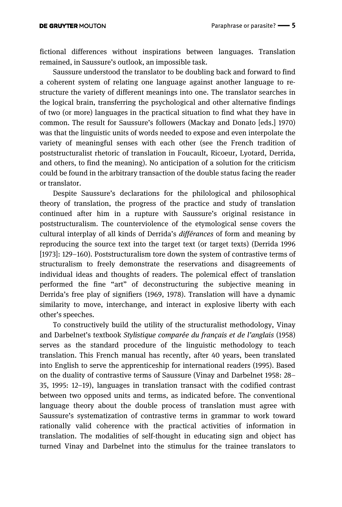fictional differences without inspirations between languages. Translation remained, in Saussure's outlook, an impossible task.

Saussure understood the translator to be doubling back and forward to find a coherent system of relating one language against another language to restructure the variety of different meanings into one. The translator searches in the logical brain, transferring the psychological and other alternative findings of two (or more) languages in the practical situation to find what they have in common. The result for Saussure's followers (Mackay and Donato [eds.] 1970) was that the linguistic units of words needed to expose and even interpolate the variety of meaningful senses with each other (see the French tradition of poststructuralist rhetoric of translation in Foucault, Ricoeur, Lyotard, Derrida, and others, to find the meaning). No anticipation of a solution for the criticism could be found in the arbitrary transaction of the double status facing the reader or translator.

Despite Saussure's declarations for the philological and philosophical theory of translation, the progress of the practice and study of translation continued after him in a rupture with Saussure's original resistance in poststructuralism. The counterviolence of the etymological sense covers the cultural interplay of all kinds of Derrida's *différances* of form and meaning by reproducing the source text into the target text (or target texts) (Derrida 1996 [1973]: 129–160). Poststructuralism tore down the system of contrastive terms of structuralism to freely demonstrate the reservations and disagreements of individual ideas and thoughts of readers. The polemical effect of translation performed the fine "art" of deconstructuring the subjective meaning in Derrida's free play of signifiers (1969, 1978). Translation will have a dynamic similarity to move, interchange, and interact in explosive liberty with each other's speeches.

To constructively build the utility of the structuralist methodology, Vinay and Darbelnet's textbook *Stylistique comparée du français et de l'anglais* (1958) serves as the standard procedure of the linguistic methodology to teach translation. This French manual has recently, after 40 years, been translated into English to serve the apprenticeship for international readers (1995). Based on the duality of contrastive terms of Saussure (Vinay and Darbelnet 1958: 28– 35, 1995: 12–19), languages in translation transact with the codified contrast between two opposed units and terms, as indicated before. The conventional language theory about the double process of translation must agree with Saussure's systematization of contrastive terms in grammar to work toward rationally valid coherence with the practical activities of information in translation. The modalities of self-thought in educating sign and object has turned Vinay and Darbelnet into the stimulus for the trainee translators to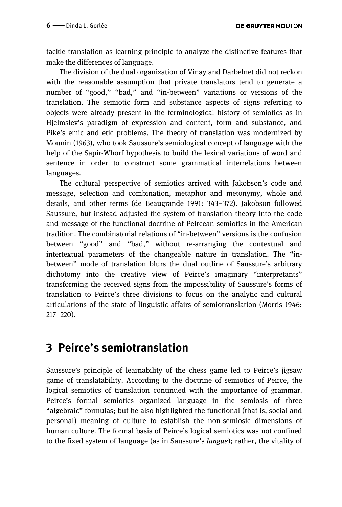tackle translation as learning principle to analyze the distinctive features that make the differences of language.

The division of the dual organization of Vinay and Darbelnet did not reckon with the reasonable assumption that private translators tend to generate a number of "good," "bad," and "in-between" variations or versions of the translation. The semiotic form and substance aspects of signs referring to objects were already present in the terminological history of semiotics as in Hjelmslev's paradigm of expression and content, form and substance, and Pike's emic and etic problems. The theory of translation was modernized by Mounin (1963), who took Saussure's semiological concept of language with the help of the Sapir-Whorf hypothesis to build the lexical variations of word and sentence in order to construct some grammatical interrelations between languages.

The cultural perspective of semiotics arrived with Jakobson's code and message, selection and combination, metaphor and metonymy, whole and details, and other terms (de Beaugrande 1991: 343–372). Jakobson followed Saussure, but instead adjusted the system of translation theory into the code and message of the functional doctrine of Peircean semiotics in the American tradition. The combinatorial relations of "in-between" versions is the confusion between "good" and "bad," without re-arranging the contextual and intertextual parameters of the changeable nature in translation. The "inbetween" mode of translation blurs the dual outline of Saussure's arbitrary dichotomy into the creative view of Peirce's imaginary "interpretants" transforming the received signs from the impossibility of Saussure's forms of translation to Peirce's three divisions to focus on the analytic and cultural articulations of the state of linguistic affairs of semiotranslation (Morris 1946: 217–220).

### **3 Peirce's semiotranslation**

Saussure's principle of learnability of the chess game led to Peirce's jigsaw game of translatability. According to the doctrine of semiotics of Peirce, the logical semiotics of translation continued with the importance of grammar. Peirce's formal semiotics organized language in the semiosis of three "algebraic" formulas; but he also highlighted the functional (that is, social and personal) meaning of culture to establish the non-semiosic dimensions of human culture. The formal basis of Peirce's logical semiotics was not confined to the fixed system of language (as in Saussure's *langue*); rather, the vitality of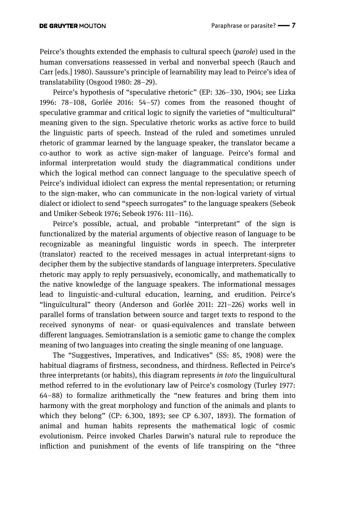Peirce's thoughts extended the emphasis to cultural speech (*parole*) used in the human conversations reassessed in verbal and nonverbal speech (Rauch and Carr [eds.] 1980). Saussure's principle of learnability may lead to Peirce's idea of translatability (Osgood 1980: 28–29).

Peirce's hypothesis of "speculative rhetoric" (EP: 326–330, 1904; see Lizka 1996: 78–108, Gorlée 2016: 54–57) comes from the reasoned thought of speculative grammar and critical logic to signify the varieties of "multicultural" meaning given to the sign. Speculative rhetoric works as active force to build the linguistic parts of speech. Instead of the ruled and sometimes unruled rhetoric of grammar learned by the language speaker, the translator became a co-author to work as active sign-maker of language. Peirce's formal and informal interpretation would study the diagrammatical conditions under which the logical method can connect language to the speculative speech of Peirce's individual idiolect can express the mental representation; or returning to the sign-maker, who can communicate in the non-logical variety of virtual dialect or idiolect to send "speech surrogates" to the language speakers (Sebeok and Umiker-Sebeok 1976; Sebeok 1976: 111–116).

Peirce's possible, actual, and probable "interpretant" of the sign is functionalized by the material arguments of objective reason of language to be recognizable as meaningful linguistic words in speech. The interpreter (translator) reacted to the received messages in actual interpretant-signs to decipher them by the subjective standards of language interpreters. Speculative rhetoric may apply to reply persuasively, economically, and mathematically to the native knowledge of the language speakers. The informational messages lead to linguistic-and-cultural education, learning, and erudition. Peirce's "linguïcultural" theory (Anderson and Gorlée 2011: 221–226) works well in parallel forms of translation between source and target texts to respond to the received synonyms of near- or quasi-equivalences and translate between different languages. Semiotranslation is a semiotic game to change the complex meaning of two languages into creating the single meaning of one language.

The "Suggestives, Imperatives, and Indicatives" (SS: 85, 1908) were the habitual diagrams of firstness, secondness, and thirdness. Reflected in Peirce's three interpretants (or habits), this diagram represents *in toto* the linguïcultural method referred to in the evolutionary law of Peirce's cosmology (Turley 1977: 64–88) to formalize arithmetically the "new features and bring them into harmony with the great morphology and function of the animals and plants to which they belong" (CP: 6.300, 1893; see CP 6.307, 1893). The formation of animal and human habits represents the mathematical logic of cosmic evolutionism. Peirce invoked Charles Darwin's natural rule to reproduce the infliction and punishment of the events of life transpiring on the "three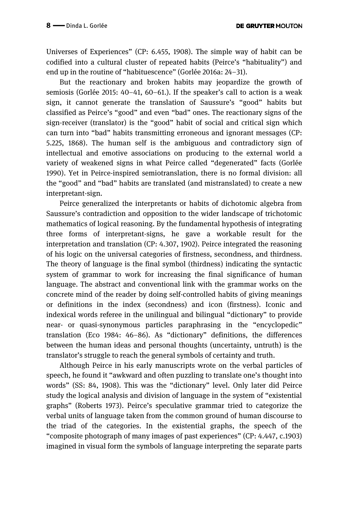Universes of Experiences" (CP: 6.455, 1908). The simple way of habit can be codified into a cultural cluster of repeated habits (Peirce's "habituality") and end up in the routine of "habituescence" (Gorlée 2016a: 24–31).

But the reactionary and broken habits may jeopardize the growth of semiosis (Gorlée 2015: 40–41, 60–61.). If the speaker's call to action is a weak sign, it cannot generate the translation of Saussure's "good" habits but classified as Peirce's "good" and even "bad" ones. The reactionary signs of the sign-receiver (translator) is the "good" habit of social and critical sign which can turn into "bad" habits transmitting erroneous and ignorant messages (CP: 5.225, 1868). The human self is the ambiguous and contradictory sign of intellectual and emotive associations on producing to the external world a variety of weakened signs in what Peirce called "degenerated" facts (Gorlée 1990). Yet in Peirce-inspired semiotranslation, there is no formal division: all the "good" and "bad" habits are translated (and mistranslated) to create a new interpretant-sign.

Peirce generalized the interpretants or habits of dichotomic algebra from Saussure's contradiction and opposition to the wider landscape of trichotomic mathematics of logical reasoning. By the fundamental hypothesis of integrating three forms of interpretant-signs, he gave a workable result for the interpretation and translation (CP: 4.307, 1902). Peirce integrated the reasoning of his logic on the universal categories of firstness, secondness, and thirdness. The theory of language is the final symbol (thirdness) indicating the syntactic system of grammar to work for increasing the final significance of human language. The abstract and conventional link with the grammar works on the concrete mind of the reader by doing self-controlled habits of giving meanings or definitions in the index (secondness) and icon (firstness). Iconic and indexical words referee in the unilingual and bilingual "dictionary" to provide near- or quasi-synonymous particles paraphrasing in the "encyclopedic" translation (Eco 1984: 46–86). As "dictionary" definitions, the differences between the human ideas and personal thoughts (uncertainty, untruth) is the translator's struggle to reach the general symbols of certainty and truth.

Although Peirce in his early manuscripts wrote on the verbal particles of speech, he found it "awkward and often puzzling to translate one's thought into words" (SS: 84, 1908). This was the "dictionary" level. Only later did Peirce study the logical analysis and division of language in the system of "existential graphs" (Roberts 1973). Peirce's speculative grammar tried to categorize the verbal units of language taken from the common ground of human discourse to the triad of the categories. In the existential graphs, the speech of the "composite photograph of many images of past experiences" (CP: 4.447, c.1903) imagined in visual form the symbols of language interpreting the separate parts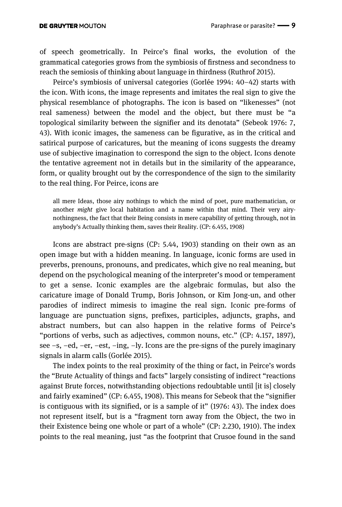of speech geometrically. In Peirce's final works, the evolution of the grammatical categories grows from the symbiosis of firstness and secondness to reach the semiosis of thinking about language in thirdness (Ruthrof 2015).

Peirce's symbiosis of universal categories (Gorlée 1994: 40–42) starts with the icon. With icons, the image represents and imitates the real sign to give the physical resemblance of photographs. The icon is based on "likenesses" (not real sameness) between the model and the object, but there must be "a topological similarity between the signifier and its denotata" (Sebeok 1976: 7, 43). With iconic images, the sameness can be figurative, as in the critical and satirical purpose of caricatures, but the meaning of icons suggests the dreamy use of subjective imagination to correspond the sign to the object. Icons denote the tentative agreement not in details but in the similarity of the appearance, form, or quality brought out by the correspondence of the sign to the similarity to the real thing. For Peirce, icons are

all mere Ideas, those airy nothings to which the mind of poet, pure mathematician, or another *might* give local habitation and a name within that mind. Their very airynothingness, the fact that their Being consists in mere capability of getting through, not in anybody's Actually thinking them, saves their Reality. (CP: 6.455, 1908)

Icons are abstract pre-signs (CP: 5.44, 1903) standing on their own as an open image but with a hidden meaning. In language, iconic forms are used in preverbs, prenouns, pronouns, and predicates, which give no real meaning, but depend on the psychological meaning of the interpreter's mood or temperament to get a sense. Iconic examples are the algebraic formulas, but also the caricature image of Donald Trump, Boris Johnson, or Kim Jong-un, and other parodies of indirect mimesis to imagine the real sign. Iconic pre-forms of language are punctuation signs, prefixes, participles, adjuncts, graphs, and abstract numbers, but can also happen in the relative forms of Peirce's "portions of verbs, such as adjectives, common nouns, etc." (CP: 4.157, 1897), see –s, –ed, –er, –est, –ing, –ly. Icons are the pre-signs of the purely imaginary signals in alarm calls (Gorlée 2015).

The index points to the real proximity of the thing or fact, in Peirce's words the "Brute Actuality of things and facts" largely consisting of indirect "reactions against Brute forces, notwithstanding objections redoubtable until [it is] closely and fairly examined" (CP: 6.455, 1908). This means for Sebeok that the "signifier is contiguous with its signified, or is a sample of it" (1976: 43). The index does not represent itself, but is a "fragment torn away from the Object, the two in their Existence being one whole or part of a whole" (CP: 2.230, 1910). The index points to the real meaning, just "as the footprint that Crusoe found in the sand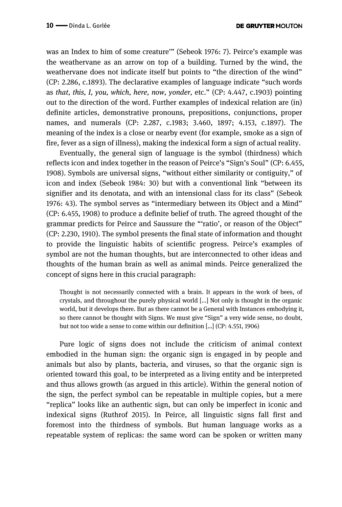was an Index to him of some creature'" (Sebeok 1976: 7). Peirce's example was the weathervane as an arrow on top of a building. Turned by the wind, the weathervane does not indicate itself but points to "the direction of the wind" (CP: 2.286, c.1893). The declarative examples of language indicate "such words as *that, this, I, you, which, here, now, yonder,* etc." (CP: 4.447, c.1903) pointing out to the direction of the word. Further examples of indexical relation are (in) definite articles, demonstrative pronouns, prepositions, conjunctions, proper names, and numerals (CP: 2.287, c.1983; 3.460, 1897; 4.153, c.1897). The meaning of the index is a close or nearby event (for example, smoke as a sign of fire, fever as a sign of illness), making the indexical form a sign of actual reality.

Eventually, the general sign of language is the symbol (thirdness) which reflects icon and index together in the reason of Peirce's "Sign's Soul" (CP: 6.455, 1908). Symbols are universal signs, "without either similarity or contiguity," of icon and index (Sebeok 1984: 30) but with a conventional link "between its signifier and its denotata, and with an intensional class for its class" (Sebeok 1976: 43). The symbol serves as "intermediary between its Object and a Mind" (CP: 6.455, 1908) to produce a definite belief of truth. The agreed thought of the grammar predicts for Peirce and Saussure the "'ratio', or reason of the Object" (CP: 2.230, 1910). The symbol presents the final state of information and thought to provide the linguistic habits of scientific progress. Peirce's examples of symbol are not the human thoughts, but are interconnected to other ideas and thoughts of the human brain as well as animal minds. Peirce generalized the concept of signs here in this crucial paragraph:

Thought is not necessarily connected with a brain. It appears in the work of bees, of crystals, and throughout the purely physical world [...] Not only is thought in the organic world, but it develops there. But as there cannot be a General with Instances embodying it, so there cannot be thought with Signs. We must give "Sign" a very wide sense, no doubt, but not too wide a sense to come within our definition […] (CP: 4.551, 1906)

Pure logic of signs does not include the criticism of animal context embodied in the human sign: the organic sign is engaged in by people and animals but also by plants, bacteria, and viruses, so that the organic sign is oriented toward this goal, to be interpreted as a living entity and be interpreted and thus allows growth (as argued in this article). Within the general notion of the sign, the perfect symbol can be repeatable in multiple copies, but a mere "replica" looks like an authentic sign, but can only be imperfect in iconic and indexical signs (Ruthrof 2015). In Peirce, all linguistic signs fall first and foremost into the thirdness of symbols. But human language works as a repeatable system of replicas: the same word can be spoken or written many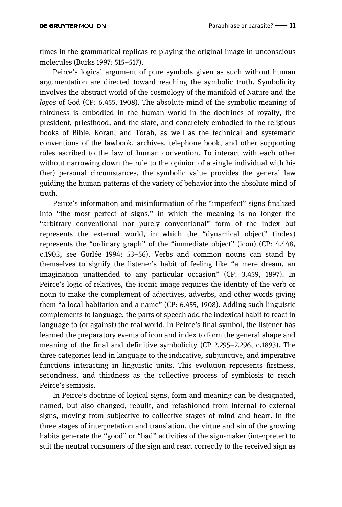times in the grammatical replicas re-playing the original image in unconscious molecules (Burks 1997: 515–517).

Peirce's logical argument of pure symbols given as such without human argumentation are directed toward reaching the symbolic truth. Symbolicity involves the abstract world of the cosmology of the manifold of Nature and the *logos* of God (CP: 6.455, 1908). The absolute mind of the symbolic meaning of thirdness is embodied in the human world in the doctrines of royalty, the president, priesthood, and the state, and concretely embodied in the religious books of Bible, Koran, and Torah, as well as the technical and systematic conventions of the lawbook, archives, telephone book, and other supporting roles ascribed to the law of human convention. To interact with each other without narrowing down the rule to the opinion of a single individual with his (her) personal circumstances, the symbolic value provides the general law guiding the human patterns of the variety of behavior into the absolute mind of truth.

Peirce's information and misinformation of the "imperfect" signs finalized into "the most perfect of signs," in which the meaning is no longer the "arbitrary conventional nor purely conventional" form of the index but represents the external world, in which the "dynamical object" (index) represents the "ordinary graph" of the "immediate object" (icon) (CP: 4.448, c.1903; see Gorlée 1994: 53–56). Verbs and common nouns can stand by themselves to signify the listener's habit of feeling like "a mere dream, an imagination unattended to any particular occasion" (CP: 3.459, 1897). In Peirce's logic of relatives, the iconic image requires the identity of the verb or noun to make the complement of adjectives, adverbs, and other words giving them "a local habitation and a name" (CP: 6.455, 1908). Adding such linguistic complements to language, the parts of speech add the indexical habit to react in language to (or against) the real world. In Peirce's final symbol, the listener has learned the preparatory events of icon and index to form the general shape and meaning of the final and definitive symbolicity (CP 2.295–2.296, c.1893). The three categories lead in language to the indicative, subjunctive, and imperative functions interacting in linguistic units. This evolution represents firstness, secondness, and thirdness as the collective process of symbiosis to reach Peirce's semiosis.

In Peirce's doctrine of logical signs, form and meaning can be designated, named, but also changed, rebuilt, and refashioned from internal to external signs, moving from subjective to collective stages of mind and heart. In the three stages of interpretation and translation, the virtue and sin of the growing habits generate the "good" or "bad" activities of the sign-maker (interpreter) to suit the neutral consumers of the sign and react correctly to the received sign as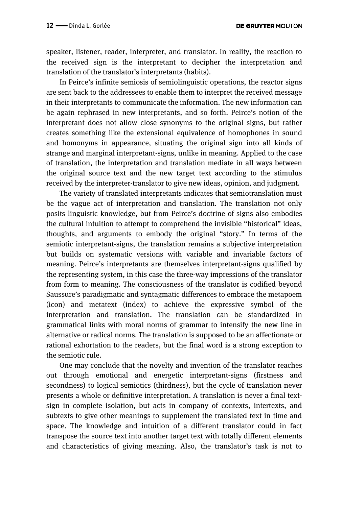speaker, listener, reader, interpreter, and translator. In reality, the reaction to the received sign is the interpretant to decipher the interpretation and translation of the translator's interpretants (habits).

In Peirce's infinite semiosis of semiolinguistic operations, the reactor signs are sent back to the addressees to enable them to interpret the received message in their interpretants to communicate the information. The new information can be again rephrased in new interpretants, and so forth. Peirce's notion of the interpretant does not allow close synonyms to the original signs, but rather creates something like the extensional equivalence of homophones in sound and homonyms in appearance, situating the original sign into all kinds of strange and marginal interpretant-signs, unlike in meaning. Applied to the case of translation, the interpretation and translation mediate in all ways between the original source text and the new target text according to the stimulus received by the interpreter-translator to give new ideas, opinion, and judgment.

The variety of translated interpretants indicates that semiotranslation must be the vague act of interpretation and translation. The translation not only posits linguistic knowledge, but from Peirce's doctrine of signs also embodies the cultural intuition to attempt to comprehend the invisible "historical" ideas, thoughts, and arguments to embody the original "story." In terms of the semiotic interpretant-signs, the translation remains a subjective interpretation but builds on systematic versions with variable and invariable factors of meaning. Peirce's interpretants are themselves interpretant-signs qualified by the representing system, in this case the three-way impressions of the translator from form to meaning. The consciousness of the translator is codified beyond Saussure's paradigmatic and syntagmatic differences to embrace the metapoem (icon) and metatext (index) to achieve the expressive symbol of the interpretation and translation. The translation can be standardized in grammatical links with moral norms of grammar to intensify the new line in alternative or radical norms. The translation is supposed to be an affectionate or rational exhortation to the readers, but the final word is a strong exception to the semiotic rule.

One may conclude that the novelty and invention of the translator reaches out through emotional and energetic interpretant-signs (firstness and secondness) to logical semiotics (thirdness), but the cycle of translation never presents a whole or definitive interpretation. A translation is never a final textsign in complete isolation, but acts in company of contexts, intertexts, and subtexts to give other meanings to supplement the translated text in time and space. The knowledge and intuition of a different translator could in fact transpose the source text into another target text with totally different elements and characteristics of giving meaning. Also, the translator's task is not to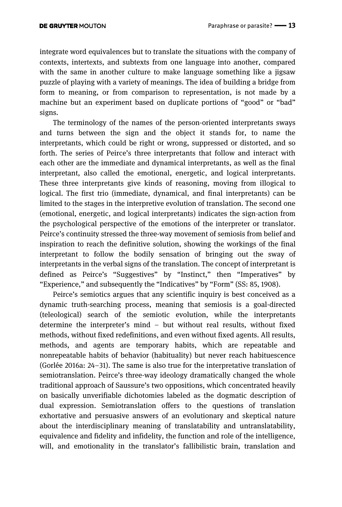integrate word equivalences but to translate the situations with the company of contexts, intertexts, and subtexts from one language into another, compared with the same in another culture to make language something like a jigsaw puzzle of playing with a variety of meanings. The idea of building a bridge from form to meaning, or from comparison to representation, is not made by a machine but an experiment based on duplicate portions of "good" or "bad" signs.

The terminology of the names of the person-oriented interpretants sways and turns between the sign and the object it stands for, to name the interpretants, which could be right or wrong, suppressed or distorted, and so forth. The series of Peirce's three interpretants that follow and interact with each other are the immediate and dynamical interpretants, as well as the final interpretant, also called the emotional, energetic, and logical interpretants. These three interpretants give kinds of reasoning, moving from illogical to logical. The first trio (immediate, dynamical, and final interpretants) can be limited to the stages in the interpretive evolution of translation. The second one (emotional, energetic, and logical interpretants) indicates the sign-action from the psychological perspective of the emotions of the interpreter or translator. Peirce's continuity stressed the three-way movement of semiosis from belief and inspiration to reach the definitive solution, showing the workings of the final interpretant to follow the bodily sensation of bringing out the sway of interpretants in the verbal signs of the translation. The concept of interpretant is defined as Peirce's "Suggestives" by "Instinct," then "Imperatives" by "Experience," and subsequently the "Indicatives" by "Form" (SS: 85, 1908).

Peirce's semiotics argues that any scientific inquiry is best conceived as a dynamic truth-searching process, meaning that semiosis is a goal-directed (teleological) search of the semiotic evolution, while the interpretants determine the interpreter's mind – but without real results, without fixed methods, without fixed redefinitions, and even without fixed agents. All results, methods, and agents are temporary habits, which are repeatable and nonrepeatable habits of behavior (habituality) but never reach habituescence (Gorlée 2016a: 24–31). The same is also true for the interpretative translation of semiotranslation. Peirce's three-way ideology dramatically changed the whole traditional approach of Saussure's two oppositions, which concentrated heavily on basically unverifiable dichotomies labeled as the dogmatic description of dual expression. Semiotranslation offers to the questions of translation exhortative and persuasive answers of an evolutionary and skeptical nature about the interdisciplinary meaning of translatability and untranslatability, equivalence and fidelity and infidelity, the function and role of the intelligence, will, and emotionality in the translator's fallibilistic brain, translation and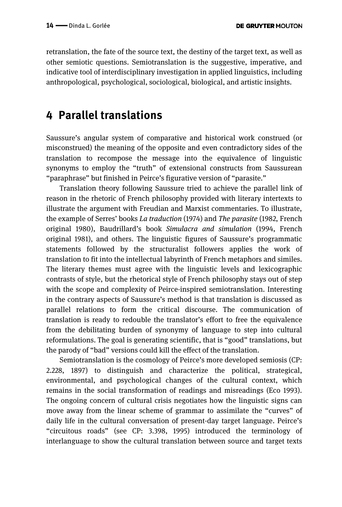retranslation, the fate of the source text, the destiny of the target text, as well as other semiotic questions. Semiotranslation is the suggestive, imperative, and indicative tool of interdisciplinary investigation in applied linguistics, including anthropological, psychological, sociological, biological, and artistic insights.

## **4 Parallel translations**

Saussure's angular system of comparative and historical work construed (or misconstrued) the meaning of the opposite and even contradictory sides of the translation to recompose the message into the equivalence of linguistic synonyms to employ the "truth" of extensional constructs from Saussurean "paraphrase" but finished in Peirce's figurative version of "parasite."

Translation theory following Saussure tried to achieve the parallel link of reason in the rhetoric of French philosophy provided with literary intertexts to illustrate the argument with Freudian and Marxist commentaries. To illustrate, the example of Serres' books *La traduction* (1974) and *The parasite* (1982, French original 1980), Baudrillard's book *Simulacra and simulation* (1994, French original 1981), and others. The linguistic figures of Saussure's programmatic statements followed by the structuralist followers applies the work of translation to fit into the intellectual labyrinth of French metaphors and similes. The literary themes must agree with the linguistic levels and lexicographic contrasts of style, but the rhetorical style of French philosophy stays out of step with the scope and complexity of Peirce-inspired semiotranslation. Interesting in the contrary aspects of Saussure's method is that translation is discussed as parallel relations to form the critical discourse. The communication of translation is ready to redouble the translator's effort to free the equivalence from the debilitating burden of synonymy of language to step into cultural reformulations. The goal is generating scientific, that is "good" translations, but the parody of "bad" versions could kill the effect of the translation.

Semiotranslation is the cosmology of Peirce's more developed semiosis (CP: 2.228, 1897) to distinguish and characterize the political, strategical, environmental, and psychological changes of the cultural context, which remains in the social transformation of readings and misreadings (Eco 1993). The ongoing concern of cultural crisis negotiates how the linguistic signs can move away from the linear scheme of grammar to assimilate the "curves" of daily life in the cultural conversation of present-day target language. Peirce's "circuitous roads" (see CP: 3.398, 1995) introduced the terminology of interlanguage to show the cultural translation between source and target texts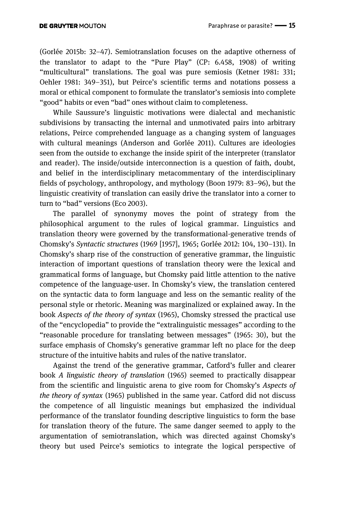(Gorlée 2015b: 32–47). Semiotranslation focuses on the adaptive otherness of the translator to adapt to the "Pure Play" (CP: 6.458, 1908) of writing "multicultural" translations. The goal was pure semiosis (Ketner 1981: 331; Oehler 1981: 349–351), but Peirce's scientific terms and notations possess a moral or ethical component to formulate the translator's semiosis into complete "good" habits or even "bad" ones without claim to completeness.

While Saussure's linguistic motivations were dialectal and mechanistic subdivisions by transacting the internal and unmotivated pairs into arbitrary relations, Peirce comprehended language as a changing system of languages with cultural meanings (Anderson and Gorlée 2011). Cultures are ideologies seen from the outside to exchange the inside spirit of the interpreter (translator and reader). The inside/outside interconnection is a question of faith, doubt, and belief in the interdisciplinary metacommentary of the interdisciplinary fields of psychology, anthropology, and mythology (Boon 1979: 83–96), but the linguistic creativity of translation can easily drive the translator into a corner to turn to "bad" versions (Eco 2003).

The parallel of synonymy moves the point of strategy from the philosophical argument to the rules of logical grammar. Linguistics and translation theory were governed by the transformational-generative trends of Chomsky's *Syntactic structures* (1969 [1957], 1965; Gorlée 2012: 104, 130–131). In Chomsky's sharp rise of the construction of generative grammar, the linguistic interaction of important questions of translation theory were the lexical and grammatical forms of language, but Chomsky paid little attention to the native competence of the language-user. In Chomsky's view, the translation centered on the syntactic data to form language and less on the semantic reality of the personal style or rhetoric. Meaning was marginalized or explained away. In the book *Aspects of the theory of syntax* (1965), Chomsky stressed the practical use of the "encyclopedia" to provide the "extralinguistic messages" according to the "reasonable procedure for translating between messages" (1965: 30), but the surface emphasis of Chomsky's generative grammar left no place for the deep structure of the intuitive habits and rules of the native translator.

Against the trend of the generative grammar, Catford's fuller and clearer book *A linguistic theory of translation* (1965) seemed to practically disappear from the scientific and linguistic arena to give room for Chomsky's *Aspects of the theory of syntax* (1965) published in the same year. Catford did not discuss the competence of all linguistic meanings but emphasized the individual performance of the translator founding descriptive linguistics to form the base for translation theory of the future. The same danger seemed to apply to the argumentation of semiotranslation, which was directed against Chomsky's theory but used Peirce's semiotics to integrate the logical perspective of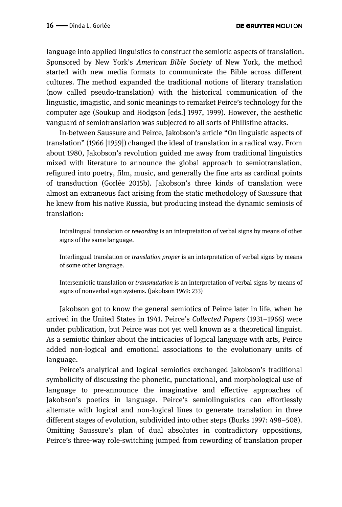language into applied linguistics to construct the semiotic aspects of translation. Sponsored by New York's *American Bible Society* of New York, the method started with new media formats to communicate the Bible across different cultures. The method expanded the traditional notions of literary translation (now called pseudo-translation) with the historical communication of the linguistic, imagistic, and sonic meanings to remarket Peirce's technology for the computer age (Soukup and Hodgson [eds.] 1997, 1999). However, the aesthetic vanguard of semiotranslation was subjected to all sorts of Philistine attacks.

In-between Saussure and Peirce, Jakobson's article "On linguistic aspects of translation" (1966 [1959]) changed the ideal of translation in a radical way. From about 1980, Jakobson's revolution guided me away from traditional linguistics mixed with literature to announce the global approach to semiotranslation, refigured into poetry, film, music, and generally the fine arts as cardinal points of transduction (Gorlée 2015b). Jakobson's three kinds of translation were almost an extraneous fact arising from the static methodology of Saussure that he knew from his native Russia, but producing instead the dynamic semiosis of translation:

Intralingual translation or *rewording* is an interpretation of verbal signs by means of other signs of the same language.

Interlingual translation or *translation proper* is an interpretation of verbal signs by means of some other language.

Intersemiotic translation or *transmutation* is an interpretation of verbal signs by means of signs of nonverbal sign systems. (Jakobson 1969: 233)

Jakobson got to know the general semiotics of Peirce later in life, when he arrived in the United States in 1941. Peirce's *Collected Papers* (1931–1966) were under publication, but Peirce was not yet well known as a theoretical linguist. As a semiotic thinker about the intricacies of logical language with arts, Peirce added non-logical and emotional associations to the evolutionary units of language.

Peirce's analytical and logical semiotics exchanged Jakobson's traditional symbolicity of discussing the phonetic, punctational, and morphological use of language to pre-announce the imaginative and effective approaches of Jakobson's poetics in language. Peirce's semiolinguistics can effortlessly alternate with logical and non-logical lines to generate translation in three different stages of evolution, subdivided into other steps (Burks 1997: 498–508). Omitting Saussure's plan of dual absolutes in contradictory oppositions, Peirce's three-way role-switching jumped from rewording of translation proper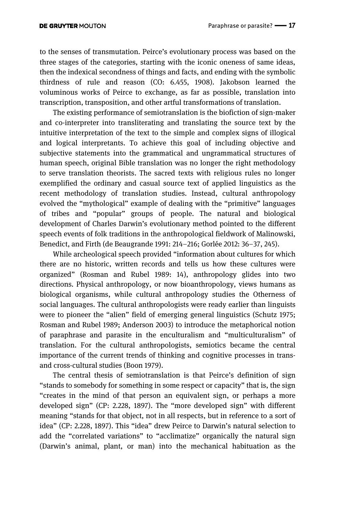to the senses of transmutation. Peirce's evolutionary process was based on the three stages of the categories, starting with the iconic oneness of same ideas, then the indexical secondness of things and facts, and ending with the symbolic thirdness of rule and reason (CO: 6.455, 1908). Jakobson learned the voluminous works of Peirce to exchange, as far as possible, translation into transcription, transposition, and other artful transformations of translation.

The existing performance of semiotranslation is the biofiction of sign-maker and co-interpreter into transliterating and translating the source text by the intuitive interpretation of the text to the simple and complex signs of illogical and logical interpretants. To achieve this goal of including objective and subjective statements into the grammatical and ungrammatical structures of human speech, original Bible translation was no longer the right methodology to serve translation theorists. The sacred texts with religious rules no longer exemplified the ordinary and casual source text of applied linguistics as the recent methodology of translation studies. Instead, cultural anthropology evolved the "mythological" example of dealing with the "primitive" languages of tribes and "popular" groups of people. The natural and biological development of Charles Darwin's evolutionary method pointed to the different speech events of folk traditions in the anthropological fieldwork of Malinowski, Benedict, and Firth (de Beaugrande 1991: 214–216; Gorlée 2012: 36–37, 245).

While archeological speech provided "information about cultures for which there are no historic, written records and tells us how these cultures were organized" (Rosman and Rubel 1989: 14), anthropology glides into two directions. Physical anthropology, or now bioanthropology, views humans as biological organisms, while cultural anthropology studies the Otherness of social languages. The cultural anthropologists were ready earlier than linguists were to pioneer the "alien" field of emerging general linguistics (Schutz 1975; Rosman and Rubel 1989; Anderson 2003) to introduce the metaphorical notion of paraphrase and parasite in the enculturalism and "multiculturalism" of translation. For the cultural anthropologists, semiotics became the central importance of the current trends of thinking and cognitive processes in transand cross-cultural studies (Boon 1979).

The central thesis of semiotranslation is that Peirce's definition of sign "stands to somebody for something in some respect or capacity" that is, the sign "creates in the mind of that person an equivalent sign, or perhaps a more developed sign" (CP: 2.228, 1897). The "more developed sign" with different meaning "stands for that object, not in all respects, but in reference to a sort of idea" (CP: 2.228, 1897). This "idea" drew Peirce to Darwin's natural selection to add the "correlated variations" to "acclimatize" organically the natural sign (Darwin's animal, plant, or man) into the mechanical habituation as the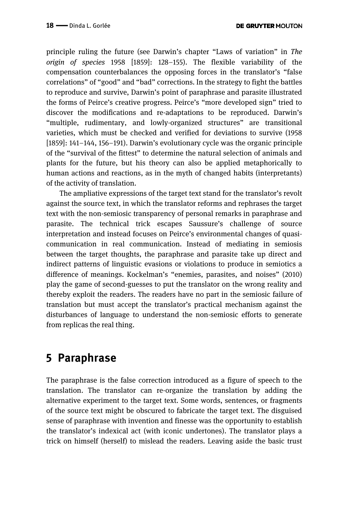principle ruling the future (see Darwin's chapter "Laws of variation" in *The origin of species* 1958 [1859]: 128–155). The flexible variability of the compensation counterbalances the opposing forces in the translator's "false correlations" of "good" and "bad" corrections. In the strategy to fight the battles to reproduce and survive, Darwin's point of paraphrase and parasite illustrated the forms of Peirce's creative progress. Peirce's "more developed sign" tried to discover the modifications and re-adaptations to be reproduced. Darwin's "multiple, rudimentary, and lowly-organized structures" are transitional varieties, which must be checked and verified for deviations to survive (1958 [1859]: 141–144, 156–191). Darwin's evolutionary cycle was the organic principle of the "survival of the fittest" to determine the natural selection of animals and plants for the future, but his theory can also be applied metaphorically to human actions and reactions, as in the myth of changed habits (interpretants) of the activity of translation.

The ampliative expressions of the target text stand for the translator's revolt against the source text, in which the translator reforms and rephrases the target text with the non-semiosic transparency of personal remarks in paraphrase and parasite. The technical trick escapes Saussure's challenge of source interpretation and instead focuses on Peirce's environmental changes of quasicommunication in real communication. Instead of mediating in semiosis between the target thoughts, the paraphrase and parasite take up direct and indirect patterns of linguistic evasions or violations to produce in semiotics a difference of meanings. Kockelman's "enemies, parasites, and noises" (2010) play the game of second-guesses to put the translator on the wrong reality and thereby exploit the readers. The readers have no part in the semiosic failure of translation but must accept the translator's practical mechanism against the disturbances of language to understand the non-semiosic efforts to generate from replicas the real thing.

### **5 Paraphrase**

The paraphrase is the false correction introduced as a figure of speech to the translation. The translator can re-organize the translation by adding the alternative experiment to the target text. Some words, sentences, or fragments of the source text might be obscured to fabricate the target text. The disguised sense of paraphrase with invention and finesse was the opportunity to establish the translator's indexical act (with iconic undertones). The translator plays a trick on himself (herself) to mislead the readers. Leaving aside the basic trust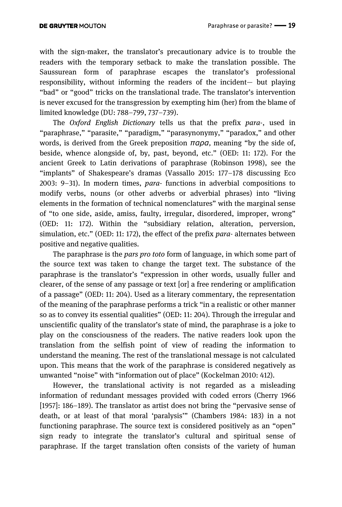with the sign-maker, the translator's precautionary advice is to trouble the readers with the temporary setback to make the translation possible. The Saussurean form of paraphrase escapes the translator's professional responsibility, without informing the readers of the incident— but playing "bad" or "good" tricks on the translational trade. The translator's intervention is never excused for the transgression by exempting him (her) from the blame of limited knowledge (DU: 788–799, 737–739).

The *Oxford English Dictionary* tells us that the prefix *para*-, used in "paraphrase," "parasite," "paradigm," "parasynonymy," "paradox," and other words, is derived from the Greek preposition *ϖαρα,* meaning "by the side of, beside, whence alongside of, by, past, beyond, etc." (OED: 11: 172). For the ancient Greek to Latin derivations of paraphrase (Robinson 1998), see the "implants" of Shakespeare's dramas (Vassallo 2015: 177–178 discussing Eco 2003: 9–31). In modern times, *para*- functions in adverbial compositions to modify verbs, nouns (or other adverbs or adverbial phrases) into "living elements in the formation of technical nomenclatures" with the marginal sense of "to one side, aside, amiss, faulty, irregular, disordered, improper, wrong" (OED: 11: 172). Within the "subsidiary relation, alteration, perversion, simulation, etc." (OED: 11: 172), the effect of the prefix *para-* alternates between positive and negative qualities.

The paraphrase is the *pars pro toto* form of language, in which some part of the source text was taken to change the target text. The substance of the paraphrase is the translator's "expression in other words, usually fuller and clearer, of the sense of any passage or text [or] a free rendering or amplification of a passage" (OED: 11: 204). Used as a literary commentary, the representation of the meaning of the paraphrase performs a trick "in a realistic or other manner so as to convey its essential qualities" (OED: 11: 204). Through the irregular and unscientific quality of the translator's state of mind, the paraphrase is a joke to play on the consciousness of the readers. The native readers look upon the translation from the selfish point of view of reading the information to understand the meaning. The rest of the translational message is not calculated upon. This means that the work of the paraphrase is considered negatively as unwanted "noise" with "information out of place" (Kockelman 2010: 412).

However, the translational activity is not regarded as a misleading information of redundant messages provided with coded errors (Cherry 1966 [1957]: 186–189). The translator as artist does not bring the "pervasive sense of death, or at least of that moral 'paralysis'" (Chambers 1984: 183) in a not functioning paraphrase. The source text is considered positively as an "open" sign ready to integrate the translator's cultural and spiritual sense of paraphrase. If the target translation often consists of the variety of human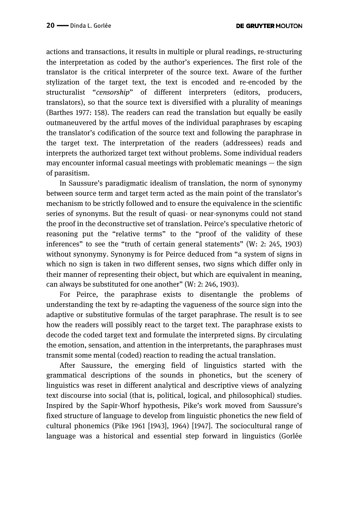actions and transactions, it results in multiple or plural readings, re-structuring the interpretation as coded by the author's experiences. The first role of the translator is the critical interpreter of the source text. Aware of the further stylization of the target text, the text is encoded and re-encoded by the structuralist "*censorship*" of different interpreters (editors, producers, translators), so that the source text is diversified with a plurality of meanings (Barthes 1977: 158). The readers can read the translation but equally be easily outmaneuvered by the artful moves of the individual paraphrases by escaping the translator's codification of the source text and following the paraphrase in the target text. The interpretation of the readers (addressees) reads and interprets the authorized target text without problems. Some individual readers may encounter informal casual meetings with problematic meanings  $-$  the sign of parasitism.

In Saussure's paradigmatic idealism of translation, the norm of synonymy between source term and target term acted as the main point of the translator's mechanism to be strictly followed and to ensure the equivalence in the scientific series of synonyms. But the result of quasi- or near-synonyms could not stand the proof in the deconstructive set of translation. Peirce's speculative rhetoric of reasoning put the "relative terms" to the "proof of the validity of these inferences" to see the "truth of certain general statements" (W: 2: 245, 1903) without synonymy. Synonymy is for Peirce deduced from "a system of signs in which no sign is taken in two different senses, two signs which differ only in their manner of representing their object, but which are equivalent in meaning, can always be substituted for one another" (W: 2: 246, 1903).

For Peirce, the paraphrase exists to disentangle the problems of understanding the text by re-adapting the vagueness of the source sign into the adaptive or substitutive formulas of the target paraphrase. The result is to see how the readers will possibly react to the target text. The paraphrase exists to decode the coded target text and formulate the interpreted signs. By circulating the emotion, sensation, and attention in the interpretants, the paraphrases must transmit some mental (coded) reaction to reading the actual translation.

After Saussure, the emerging field of linguistics started with the grammatical descriptions of the sounds in phonetics, but the scenery of linguistics was reset in different analytical and descriptive views of analyzing text discourse into social (that is, political, logical, and philosophical) studies. Inspired by the Sapir-Whorf hypothesis, Pike's work moved from Saussure's fixed structure of language to develop from linguistic phonetics the new field of cultural phonemics (Pike 1961 [1943], 1964) [1947]. The sociocultural range of language was a historical and essential step forward in linguistics (Gorlée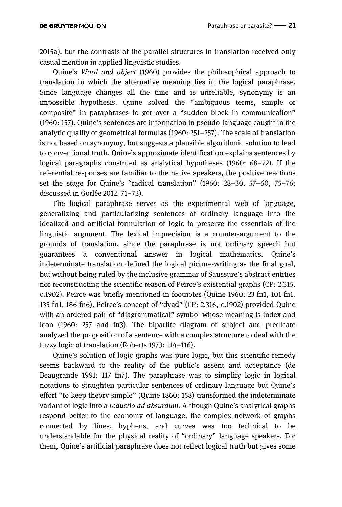2015a), but the contrasts of the parallel structures in translation received only casual mention in applied linguistic studies.

Quine's *Word and object* (1960) provides the philosophical approach to translation in which the alternative meaning lies in the logical paraphrase. Since language changes all the time and is unreliable, synonymy is an impossible hypothesis. Quine solved the "ambiguous terms, simple or composite" in paraphrases to get over a "sudden block in communication" (1960: 157). Quine's sentences are information in pseudo-language caught in the analytic quality of geometrical formulas (1960: 251–257). The scale of translation is not based on synonymy, but suggests a plausible algorithmic solution to lead to conventional truth. Quine's approximate identification explains sentences by logical paragraphs construed as analytical hypotheses (1960: 68–72). If the referential responses are familiar to the native speakers, the positive reactions set the stage for Quine's "radical translation" (1960: 28–30, 57–60, 75–76; discussed in Gorlée 2012: 71–73).

The logical paraphrase serves as the experimental web of language, generalizing and particularizing sentences of ordinary language into the idealized and artificial formulation of logic to preserve the essentials of the linguistic argument. The lexical imprecision is a counter-argument to the grounds of translation, since the paraphrase is not ordinary speech but guarantees a conventional answer in logical mathematics. Quine's indeterminate translation defined the logical picture-writing as the final goal, but without being ruled by the inclusive grammar of Saussure's abstract entities nor reconstructing the scientific reason of Peirce's existential graphs (CP: 2.315, c.1902). Peirce was briefly mentioned in footnotes (Quine 1960: 23 fn1, 101 fn1, 135 fn1, 186 fn6). Peirce's concept of "dyad" (CP: 2.316, c.1902) provided Quine with an ordered pair of "diagrammatical" symbol whose meaning is index and icon (1960: 257 and fn3). The bipartite diagram of subject and predicate analyzed the proposition of a sentence with a complex structure to deal with the fuzzy logic of translation (Roberts 1973: 114–116).

Quine's solution of logic graphs was pure logic, but this scientific remedy seems backward to the reality of the public's assent and acceptance (de Beaugrande 1991: 117 fn7). The paraphrase was to simplify logic in logical notations to straighten particular sentences of ordinary language but Quine's effort "to keep theory simple" (Quine 1860: 158) transformed the indeterminate variant of logic into a *reductio ad absurdum*. Although Quine's analytical graphs respond better to the economy of language, the complex network of graphs connected by lines, hyphens, and curves was too technical to be understandable for the physical reality of "ordinary" language speakers. For them, Quine's artificial paraphrase does not reflect logical truth but gives some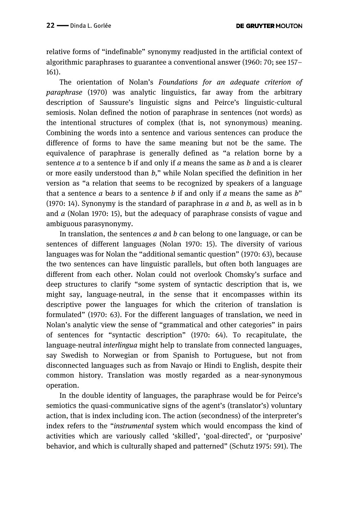relative forms of "indefinable" synonymy readjusted in the artificial context of algorithmic paraphrases to guarantee a conventional answer (1960: 70; see 157– 161).

The orientation of Nolan's *Foundations for an adequate criterion of paraphrase* (1970) was analytic linguistics, far away from the arbitrary description of Saussure's linguistic signs and Peirce's linguistic-cultural semiosis. Nolan defined the notion of paraphrase in sentences (not words) as the intentional structures of complex (that is, not synonymous) meaning. Combining the words into a sentence and various sentences can produce the difference of forms to have the same meaning but not be the same. The equivalence of paraphrase is generally defined as "a relation borne by a sentence *a* to a sentence b if and only if *a* means the same as *b* and a is clearer or more easily understood than *b,*" while Nolan specified the definition in her version as "a relation that seems to be recognized by speakers of a language that a sentence *a* bears to a sentence *b* if and only if *a* means the same as *b*" (1970: 14). Synonymy is the standard of paraphrase in *a* and *b*, as well as in b and *a* (Nolan 1970: 15), but the adequacy of paraphrase consists of vague and ambiguous parasynonymy.

In translation, the sentences *a* and *b* can belong to one language, or can be sentences of different languages (Nolan 1970: 15). The diversity of various languages was for Nolan the "additional semantic question" (1970: 63), because the two sentences can have linguistic parallels, but often both languages are different from each other. Nolan could not overlook Chomsky's surface and deep structures to clarify "some system of syntactic description that is, we might say, language-neutral, in the sense that it encompasses within its descriptive power the languages for which the criterion of translation is formulated" (1970: 63). For the different languages of translation, we need in Nolan's analytic view the sense of "grammatical and other categories" in pairs of sentences for "syntactic description" (1970: 64). To recapitulate, the language-neutral *interlingua* might help to translate from connected languages, say Swedish to Norwegian or from Spanish to Portuguese, but not from disconnected languages such as from Navajo or Hindi to English, despite their common history. Translation was mostly regarded as a near-synonymous operation.

In the double identity of languages, the paraphrase would be for Peirce's semiotics the quasi-communicative signs of the agent's (translator's) voluntary action, that is index including icon. The action (secondness) of the interpreter's index refers to the "*instrumental* system which would encompass the kind of activities which are variously called 'skilled', 'goal-directed', or 'purposive' behavior, and which is culturally shaped and patterned" (Schutz 1975: 591). The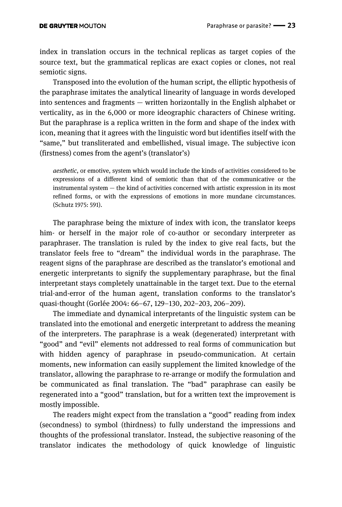index in translation occurs in the technical replicas as target copies of the source text, but the grammatical replicas are exact copies or clones, not real semiotic signs.

Transposed into the evolution of the human script, the elliptic hypothesis of the paraphrase imitates the analytical linearity of language in words developed into sentences and fragments — written horizontally in the English alphabet or verticality, as in the 6,000 or more ideographic characters of Chinese writing. But the paraphrase is a replica written in the form and shape of the index with icon, meaning that it agrees with the linguistic word but identifies itself with the "same," but transliterated and embellished, visual image. The subjective icon (firstness) comes from the agent's (translator's)

*aesthetic*, or emotive, system which would include the kinds of activities considered to be expressions of a different kind of semiotic than that of the communicative or the instrumental system — the kind of activities concerned with artistic expression in its most refined forms, or with the expressions of emotions in more mundane circumstances. (Schutz 1975: 591).

The paraphrase being the mixture of index with icon, the translator keeps him- or herself in the major role of co-author or secondary interpreter as paraphraser. The translation is ruled by the index to give real facts, but the translator feels free to "dream" the individual words in the paraphrase. The reagent signs of the paraphrase are described as the translator's emotional and energetic interpretants to signify the supplementary paraphrase, but the final interpretant stays completely unattainable in the target text. Due to the eternal trial-and-error of the human agent, translation conforms to the translator's quasi-thought (Gorlée 2004: 66–67, 129–130, 202–203, 206–209).

The immediate and dynamical interpretants of the linguistic system can be translated into the emotional and energetic interpretant to address the meaning of the interpreters. The paraphrase is a weak (degenerated) interpretant with "good" and "evil" elements not addressed to real forms of communication but with hidden agency of paraphrase in pseudo-communication. At certain moments, new information can easily supplement the limited knowledge of the translator, allowing the paraphrase to re-arrange or modify the formulation and be communicated as final translation. The "bad" paraphrase can easily be regenerated into a "good" translation, but for a written text the improvement is mostly impossible.

The readers might expect from the translation a "good" reading from index (secondness) to symbol (thirdness) to fully understand the impressions and thoughts of the professional translator. Instead, the subjective reasoning of the translator indicates the methodology of quick knowledge of linguistic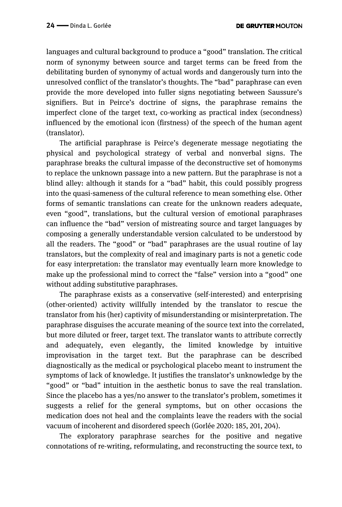languages and cultural background to produce a "good" translation. The critical norm of synonymy between source and target terms can be freed from the debilitating burden of synonymy of actual words and dangerously turn into the unresolved conflict of the translator's thoughts. The "bad" paraphrase can even provide the more developed into fuller signs negotiating between Saussure's signifiers. But in Peirce's doctrine of signs, the paraphrase remains the imperfect clone of the target text, co-working as practical index (secondness) influenced by the emotional icon (firstness) of the speech of the human agent (translator).

The artificial paraphrase is Peirce's degenerate message negotiating the physical and psychological strategy of verbal and nonverbal signs. The paraphrase breaks the cultural impasse of the deconstructive set of homonyms to replace the unknown passage into a new pattern. But the paraphrase is not a blind alley: although it stands for a "bad" habit, this could possibly progress into the quasi-sameness of the cultural reference to mean something else. Other forms of semantic translations can create for the unknown readers adequate, even "good", translations, but the cultural version of emotional paraphrases can influence the "bad" version of mistreating source and target languages by composing a generally understandable version calculated to be understood by all the readers. The "good" or "bad" paraphrases are the usual routine of lay translators, but the complexity of real and imaginary parts is not a genetic code for easy interpretation: the translator may eventually learn more knowledge to make up the professional mind to correct the "false" version into a "good" one without adding substitutive paraphrases.

The paraphrase exists as a conservative (self-interested) and enterprising (other-oriented) activity willfully intended by the translator to rescue the translator from his (her) captivity of misunderstanding or misinterpretation. The paraphrase disguises the accurate meaning of the source text into the correlated, but more diluted or freer, target text. The translator wants to attribute correctly and adequately, even elegantly, the limited knowledge by intuitive improvisation in the target text. But the paraphrase can be described diagnostically as the medical or psychological placebo meant to instrument the symptoms of lack of knowledge. It justifies the translator's unknowledge by the "good" or "bad" intuition in the aesthetic bonus to save the real translation. Since the placebo has a yes/no answer to the translator's problem, sometimes it suggests a relief for the general symptoms, but on other occasions the medication does not heal and the complaints leave the readers with the social vacuum of incoherent and disordered speech (Gorlée 2020: 185, 201, 204).

The exploratory paraphrase searches for the positive and negative connotations of re-writing, reformulating, and reconstructing the source text, to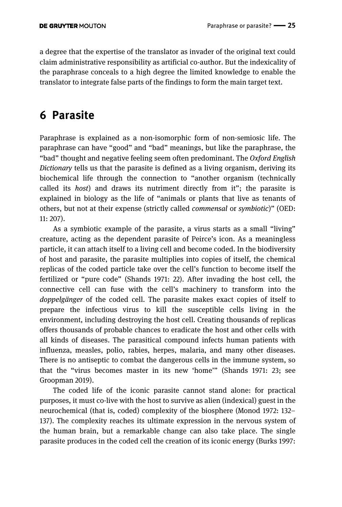a degree that the expertise of the translator as invader of the original text could claim administrative responsibility as artificial co-author. But the indexicality of the paraphrase conceals to a high degree the limited knowledge to enable the translator to integrate false parts of the findings to form the main target text.

# **6 Parasite**

Paraphrase is explained as a non-isomorphic form of non-semiosic life. The paraphrase can have "good" and "bad" meanings, but like the paraphrase, the "bad" thought and negative feeling seem often predominant. The *Oxford English Dictionary* tells us that the parasite is defined as a living organism, deriving its biochemical life through the connection to "another organism (technically called its *host*) and draws its nutriment directly from it"; the parasite is explained in biology as the life of "animals or plants that live as tenants of others, but not at their expense (strictly called *commensal* or *symbiotic*)" (OED: 11: 207).

As a symbiotic example of the parasite, a virus starts as a small "living" creature, acting as the dependent parasite of Peirce's icon. As a meaningless particle, it can attach itself to a living cell and become coded. In the biodiversity of host and parasite, the parasite multiplies into copies of itself, the chemical replicas of the coded particle take over the cell's function to become itself the fertilized or "pure code" (Shands 1971: 22). After invading the host cell, the connective cell can fuse with the cell's machinery to transform into the *doppelgänger* of the coded cell. The parasite makes exact copies of itself to prepare the infectious virus to kill the susceptible cells living in the environment, including destroying the host cell. Creating thousands of replicas offers thousands of probable chances to eradicate the host and other cells with all kinds of diseases. The parasitical compound infects human patients with influenza, measles, polio, rabies, herpes, malaria, and many other diseases. There is no antiseptic to combat the dangerous cells in the immune system, so that the "virus becomes master in its new 'home'" (Shands 1971: 23; see Groopman 2019).

The coded life of the iconic parasite cannot stand alone: for practical purposes, it must co-live with the host to survive as alien (indexical) guest in the neurochemical (that is, coded) complexity of the biosphere (Monod 1972: 132– 137). The complexity reaches its ultimate expression in the nervous system of the human brain, but a remarkable change can also take place. The single parasite produces in the coded cell the creation of its iconic energy (Burks 1997: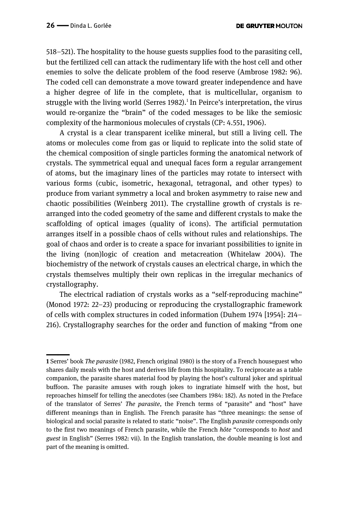518–521). The hospitality to the house guests supplies food to the parasiting cell, but the fertilized cell can attack the rudimentary life with the host cell and other enemies to solve the delicate problem of the food reserve (Ambrose 1982: 96). The coded cell can demonstrate a move toward greater independence and have a higher degree of life in the complete, that is multicellular, organism to struggle with the living world (Serres 1982).<sup>1</sup> In Peirce's interpretation, the virus would re-organize the "brain" of the coded messages to be like the semiosic complexity of the harmonious molecules of crystals (CP: 4.551, 1906).

A crystal is a clear transparent icelike mineral, but still a living cell. The atoms or molecules come from gas or liquid to replicate into the solid state of the chemical composition of single particles forming the anatomical network of crystals. The symmetrical equal and unequal faces form a regular arrangement of atoms, but the imaginary lines of the particles may rotate to intersect with various forms (cubic, isometric, hexagonal, tetragonal, and other types) to produce from variant symmetry a local and broken asymmetry to raise new and chaotic possibilities (Weinberg 2011). The crystalline growth of crystals is rearranged into the coded geometry of the same and different crystals to make the scaffolding of optical images (quality of icons). The artificial permutation arranges itself in a possible chaos of cells without rules and relationships. The goal of chaos and order is to create a space for invariant possibilities to ignite in the living (non)logic of creation and metacreation (Whitelaw 2004). The biochemistry of the network of crystals causes an electrical charge, in which the crystals themselves multiply their own replicas in the irregular mechanics of crystallography.

The electrical radiation of crystals works as a "self-reproducing machine" (Monod 1972: 22–23) producing or reproducing the crystallographic framework of cells with complex structures in coded information (Duhem 1974 [1954]: 214– 216). Crystallography searches for the order and function of making "from one

<sup>——</sup> **1** Serres' book *The parasite* (1982, French original 1980) is the story of a French houseguest who shares daily meals with the host and derives life from this hospitality. To reciprocate as a table companion, the parasite shares material food by playing the host's cultural joker and spiritual buffoon. The parasite amuses with rough jokes to ingratiate himself with the host, but reproaches himself for telling the anecdotes (see Chambers 1984: 182). As noted in the Preface of the translator of Serres' *The parasite*, the French terms of "parasite" and "host" have different meanings than in English. The French parasite has "three meanings: the sense of biological and social parasite is related to static "noise". The English *parasite* corresponds only to the first two meanings of French parasite, while the French *hôte* "corresponds to *host* and *guest* in English" (Serres 1982: vii). In the English translation, the double meaning is lost and part of the meaning is omitted.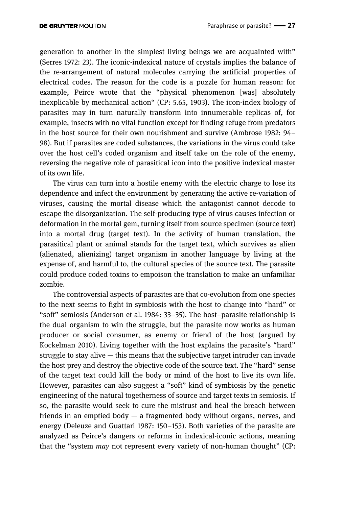generation to another in the simplest living beings we are acquainted with" (Serres 1972: 23). The iconic-indexical nature of crystals implies the balance of the re-arrangement of natural molecules carrying the artificial properties of electrical codes. The reason for the code is a puzzle for human reason: for example, Peirce wrote that the "physical phenomenon [was] absolutely inexplicable by mechanical action" (CP: 5.65, 1903). The icon-index biology of parasites may in turn naturally transform into innumerable replicas of, for example, insects with no vital function except for finding refuge from predators in the host source for their own nourishment and survive (Ambrose 1982: 94– 98). But if parasites are coded substances, the variations in the virus could take over the host cell's coded organism and itself take on the role of the enemy, reversing the negative role of parasitical icon into the positive indexical master of its own life.

The virus can turn into a hostile enemy with the electric charge to lose its dependence and infect the environment by generating the active re-variation of viruses, causing the mortal disease which the antagonist cannot decode to escape the disorganization. The self-producing type of virus causes infection or deformation in the mortal gem, turning itself from source specimen (source text) into a mortal drug (target text). In the activity of human translation, the parasitical plant or animal stands for the target text, which survives as alien (alienated, alienizing) target organism in another language by living at the expense of, and harmful to, the cultural species of the source text. The parasite could produce coded toxins to empoison the translation to make an unfamiliar zombie.

The controversial aspects of parasites are that co-evolution from one species to the next seems to fight in symbiosis with the host to change into "hard" or "soft" semiosis (Anderson et al. 1984: 33–35). The host–parasite relationship is the dual organism to win the struggle, but the parasite now works as human producer or social consumer, as enemy or friend of the host (argued by Kockelman 2010). Living together with the host explains the parasite's "hard" struggle to stay alive — this means that the subjective target intruder can invade the host prey and destroy the objective code of the source text. The "hard" sense of the target text could kill the body or mind of the host to live its own life. However, parasites can also suggest a "soft" kind of symbiosis by the genetic engineering of the natural togetherness of source and target texts in semiosis. If so, the parasite would seek to cure the mistrust and heal the breach between friends in an emptied body  $-$  a fragmented body without organs, nerves, and energy (Deleuze and Guattari 1987: 150–153). Both varieties of the parasite are analyzed as Peirce's dangers or reforms in indexical-iconic actions, meaning that the "system *may* not represent every variety of non-human thought" (CP: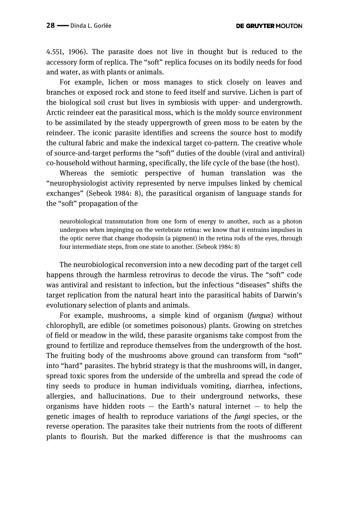4.551, 1906). The parasite does not live in thought but is reduced to the accessory form of replica. The "soft" replica focuses on its bodily needs for food and water, as with plants or animals.

For example, lichen or moss manages to stick closely on leaves and branches or exposed rock and stone to feed itself and survive. Lichen is part of the biological soil crust but lives in symbiosis with upper- and undergrowth. Arctic reindeer eat the parasitical moss, which is the moldy source environment to be assimilated by the steady uppergrowth of green moss to be eaten by the reindeer. The iconic parasite identifies and screens the source host to modify the cultural fabric and make the indexical target co-pattern. The creative whole of source-and-target performs the "soft" duties of the double (viral and antiviral) co-household without harming, specifically, the life cycle of the base (the host).

Whereas the semiotic perspective of human translation was the "neurophysiologist activity represented by nerve impulses linked by chemical exchanges" (Sebeok 1984: 8), the parasitical organism of language stands for the "soft" propagation of the

neurobiological transmutation from one form of energy to another, such as a photon undergoes when impinging on the vertebrate retina: we know that it entrains impulses in the optic nerve that change rhodopsin (a pigment) in the retina rods of the eyes, through four intermediate steps, from one state to another. (Sebeok 1984: 8)

The neurobiological reconversion into a new decoding part of the target cell happens through the harmless retrovirus to decode the virus. The "soft" code was antiviral and resistant to infection, but the infectious "diseases" shifts the target replication from the natural heart into the parasitical habits of Darwin's evolutionary selection of plants and animals.

For example, mushrooms, a simple kind of organism (*fungus*) without chlorophyll, are edible (or sometimes poisonous) plants. Growing on stretches of field or meadow in the wild, these parasite organisms take compost from the ground to fertilize and reproduce themselves from the undergrowth of the host. The fruiting body of the mushrooms above ground can transform from "soft" into "hard" parasites. The hybrid strategy is that the mushrooms will, in danger, spread toxic spores from the underside of the umbrella and spread the code of tiny seeds to produce in human individuals vomiting, diarrhea, infections, allergies, and hallucinations. Due to their underground networks, these organisms have hidden roots  $-$  the Earth's natural internet  $-$  to help the genetic images of health to reproduce variations of the *fungi* species, or the reverse operation. The parasites take their nutrients from the roots of different plants to flourish. But the marked difference is that the mushrooms can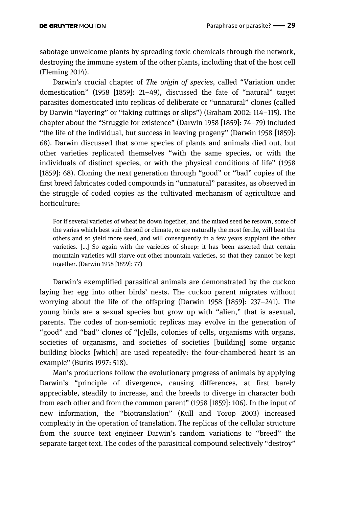sabotage unwelcome plants by spreading toxic chemicals through the network, destroying the immune system of the other plants, including that of the host cell (Fleming 2014).

Darwin's crucial chapter of *The origin of species,* called "Variation under domestication" (1958 [1859]: 21–49), discussed the fate of "natural" target parasites domesticated into replicas of deliberate or "unnatural" clones (called by Darwin "layering" or "taking cuttings or slips") (Graham 2002: 114–115). The chapter about the "Struggle for existence" (Darwin 1958 [1859]: 74–79) included "the life of the individual, but success in leaving progeny" (Darwin 1958 [1859]: 68). Darwin discussed that some species of plants and animals died out, but other varieties replicated themselves "with the same species, or with the individuals of distinct species, or with the physical conditions of life" (1958 [1859]: 68). Cloning the next generation through "good" or "bad" copies of the first breed fabricates coded compounds in "unnatural" parasites, as observed in the struggle of coded copies as the cultivated mechanism of agriculture and horticulture:

For if several varieties of wheat be down together, and the mixed seed be resown, some of the varies which best suit the soil or climate, or are naturally the most fertile, will beat the others and so yield more seed, and will consequently in a few years supplant the other varieties. […] So again with the varieties of sheep: it has been asserted that certain mountain varieties will starve out other mountain varieties, so that they cannot be kept together. (Darwin 1958 [1859]: 77)

Darwin's exemplified parasitical animals are demonstrated by the cuckoo laying her egg into other birds' nests. The cuckoo parent migrates without worrying about the life of the offspring (Darwin 1958 [1859]: 237–241). The young birds are a sexual species but grow up with "alien," that is asexual, parents. The codes of non-semiotic replicas may evolve in the generation of "good" and "bad" clones of "[c]ells, colonies of cells, organisms with organs, societies of organisms, and societies of societies [building] some organic building blocks [which] are used repeatedly: the four-chambered heart is an example" (Burks 1997: 518).

Man's productions follow the evolutionary progress of animals by applying Darwin's "principle of divergence, causing differences, at first barely appreciable, steadily to increase, and the breeds to diverge in character both from each other and from the common parent" (1958 [1859]: 106). In the input of new information, the "biotranslation" (Kull and Torop 2003) increased complexity in the operation of translation. The replicas of the cellular structure from the source text engineer Darwin's random variations to "breed" the separate target text. The codes of the parasitical compound selectively "destroy"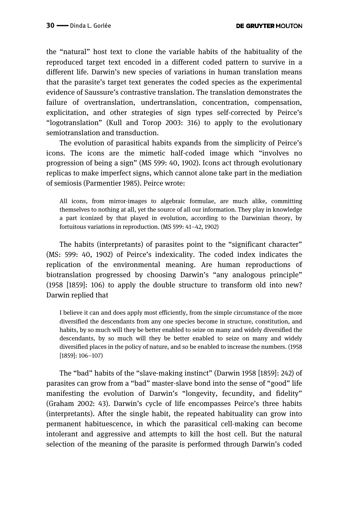the "natural" host text to clone the variable habits of the habituality of the reproduced target text encoded in a different coded pattern to survive in a different life. Darwin's new species of variations in human translation means that the parasite's target text generates the coded species as the experimental evidence of Saussure's contrastive translation. The translation demonstrates the failure of overtranslation, undertranslation, concentration, compensation, explicitation, and other strategies of sign types self-corrected by Peirce's "logotranslation" (Kull and Torop 2003: 316) to apply to the evolutionary semiotranslation and transduction.

The evolution of parasitical habits expands from the simplicity of Peirce's icons. The icons are the mimetic half-coded image which "involves no progression of being a sign" (MS 599: 40, 1902). Icons act through evolutionary replicas to make imperfect signs, which cannot alone take part in the mediation of semiosis (Parmentier 1985). Peirce wrote:

All icons, from mirror-images to algebraic formulae, are much alike, committing themselves to nothing at all, yet the source of all our information. They play in knowledge a part iconized by that played in evolution, according to the Darwinian theory, by fortuitous variations in reproduction. (MS 599: 41–42, 1902)

The habits (interpretants) of parasites point to the "significant character" (MS: 599: 40, 1902) of Peirce's indexicality. The coded index indicates the replication of the environmental meaning. Are human reproductions of biotranslation progressed by choosing Darwin's "any analogous principle" (1958 [1859]: 106) to apply the double structure to transform old into new? Darwin replied that

I believe it can and does apply most efficiently, from the simple circumstance of the more diversified the descendants from any one species become in structure, constitution, and habits, by so much will they be better enabled to seize on many and widely diversified the descendants, by so much will they be better enabled to seize on many and widely diversified places in the policy of nature, and so be enabled to increase the numbers. (1958 [1859]: 106–107)

The "bad" habits of the "slave-making instinct" (Darwin 1958 [1859]: 242) of parasites can grow from a "bad" master-slave bond into the sense of "good" life manifesting the evolution of Darwin's "longevity, fecundity, and fidelity" (Graham 2002: 43). Darwin's cycle of life encompasses Peirce's three habits (interpretants). After the single habit, the repeated habituality can grow into permanent habituescence, in which the parasitical cell-making can become intolerant and aggressive and attempts to kill the host cell. But the natural selection of the meaning of the parasite is performed through Darwin's coded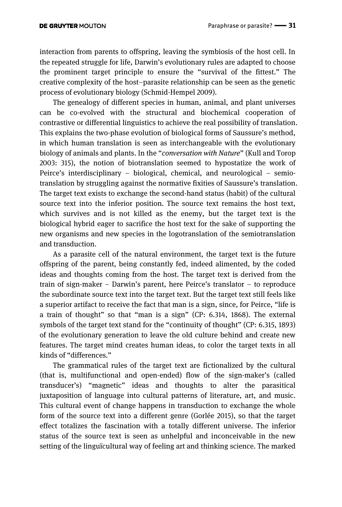interaction from parents to offspring, leaving the symbiosis of the host cell. In the repeated struggle for life, Darwin's evolutionary rules are adapted to choose the prominent target principle to ensure the "survival of the fittest." The creative complexity of the host–parasite relationship can be seen as the genetic process of evolutionary biology (Schmid-Hempel 2009).

The genealogy of different species in human, animal, and plant universes can be co-evolved with the structural and biochemical cooperation of contrastive or differential linguistics to achieve the real possibility of translation. This explains the two-phase evolution of biological forms of Saussure's method, in which human translation is seen as interchangeable with the evolutionary biology of animals and plants. In the "*conversation with Nature*" (Kull and Torop 2003: 315), the notion of biotranslation seemed to hypostatize the work of Peirce's interdisciplinary – biological, chemical, and neurological – semiotranslation by struggling against the normative fixities of Saussure's translation. The target text exists to exchange the second-hand status (habit) of the cultural source text into the inferior position. The source text remains the host text, which survives and is not killed as the enemy, but the target text is the biological hybrid eager to sacrifice the host text for the sake of supporting the new organisms and new species in the logotranslation of the semiotranslation and transduction.

As a parasite cell of the natural environment, the target text is the future offspring of the parent, being constantly fed, indeed alimented, by the coded ideas and thoughts coming from the host. The target text is derived from the train of sign-maker – Darwin's parent, here Peirce's translator – to reproduce the subordinate source text into the target text. But the target text still feels like a superior artifact to receive the fact that man is a sign, since, for Peirce, "life is a train of thought" so that "man is a sign" (CP: 6.314, 1868). The external symbols of the target text stand for the "continuity of thought" (CP: 6.315, 1893) of the evolutionary generation to leave the old culture behind and create new features. The target mind creates human ideas, to color the target texts in all kinds of "differences."

The grammatical rules of the target text are fictionalized by the cultural (that is, multifunctional and open-ended) flow of the sign-maker's (called transducer's) "magnetic" ideas and thoughts to alter the parasitical juxtaposition of language into cultural patterns of literature, art, and music. This cultural event of change happens in transduction to exchange the whole form of the source text into a different genre (Gorlée 2015), so that the target effect totalizes the fascination with a totally different universe. The inferior status of the source text is seen as unhelpful and inconceivable in the new setting of the linguïcultural way of feeling art and thinking science. The marked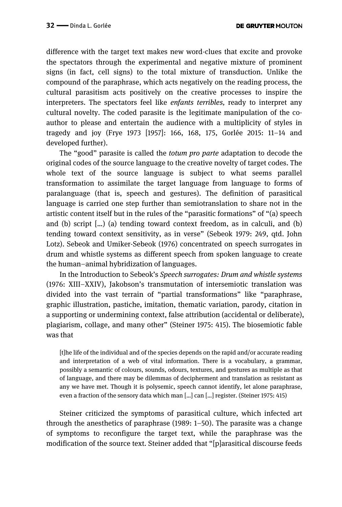difference with the target text makes new word-clues that excite and provoke the spectators through the experimental and negative mixture of prominent signs (in fact, cell signs) to the total mixture of transduction. Unlike the compound of the paraphrase, which acts negatively on the reading process, the cultural parasitism acts positively on the creative processes to inspire the interpreters. The spectators feel like *enfants terribles,* ready to interpret any cultural novelty. The coded parasite is the legitimate manipulation of the coauthor to please and entertain the audience with a multiplicity of styles in tragedy and joy (Frye 1973 [1957]: 166, 168, 175, Gorlée 2015: 11–14 and developed further).

The "good" parasite is called the *totum pro parte* adaptation to decode the original codes of the source language to the creative novelty of target codes. The whole text of the source language is subject to what seems parallel transformation to assimilate the target language from language to forms of paralanguage (that is, speech and gestures). The definition of parasitical language is carried one step further than semiotranslation to share not in the artistic content itself but in the rules of the "parasitic formations" of "(a) speech and (b) script […) (a) tending toward context freedom, as in calculi, and (b) tending toward context sensitivity, as in verse" (Sebeok 1979: 249, qtd. John Lotz). Sebeok and Umiker-Sebeok (1976) concentrated on speech surrogates in drum and whistle systems as different speech from spoken language to create the human–animal hybridization of languages.

In the Introduction to Sebeok's *Speech surrogates: Drum and whistle systems*  (1976: XIII–XXIV), Jakobson's transmutation of intersemiotic translation was divided into the vast terrain of "partial transformations" like "paraphrase, graphic illustration, pastiche, imitation, thematic variation, parody, citation in a supporting or undermining context, false attribution (accidental or deliberate), plagiarism, collage, and many other" (Steiner 1975: 415). The biosemiotic fable was that

[t]he life of the individual and of the species depends on the rapid and/or accurate reading and interpretation of a web of vital information. There is a vocabulary, a grammar, possibly a semantic of colours, sounds, odours, textures, and gestures as multiple as that of language, and there may be dilemmas of decipherment and translation as resistant as any we have met. Though it is polysemic, speech cannot identify, let alone paraphrase, even a fraction of the sensory data which man […] can […] register. (Steiner 1975: 415)

Steiner criticized the symptoms of parasitical culture, which infected art through the anesthetics of paraphrase (1989: 1–50). The parasite was a change of symptoms to reconfigure the target text, while the paraphrase was the modification of the source text. Steiner added that "[p]arasitical discourse feeds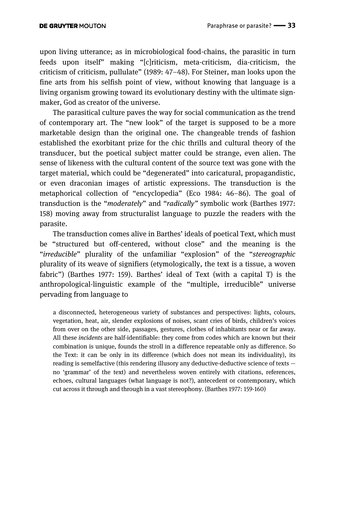upon living utterance; as in microbiological food-chains, the parasitic in turn feeds upon itself" making "[c]riticism, meta-criticism, dia-criticism, the criticism of criticism, pullulate" (1989: 47–48). For Steiner, man looks upon the fine arts from his selfish point of view, without knowing that language is a living organism growing toward its evolutionary destiny with the ultimate signmaker, God as creator of the universe.

The parasitical culture paves the way for social communication as the trend of contemporary art. The "new look" of the target is supposed to be a more marketable design than the original one. The changeable trends of fashion established the exorbitant prize for the chic thrills and cultural theory of the transducer, but the poetical subject matter could be strange, even alien. The sense of likeness with the cultural content of the source text was gone with the target material, which could be "degenerated" into caricatural, propagandistic, or even draconian images of artistic expressions. The transduction is the metaphorical collection of "encyclopedia" (Eco 1984: 46–86). The goal of transduction is the "*moderately*" and "*radically"* symbolic work (Barthes 1977: 158) moving away from structuralist language to puzzle the readers with the parasite.

The transduction comes alive in Barthes' ideals of poetical Text, which must be "structured but off-centered, without close" and the meaning is the "*irreducible*" plurality of the unfamiliar "explosion" of the "*stereographic* plurality of its weave of signifiers (etymologically, the text is a tissue, a woven fabric") (Barthes 1977: 159). Barthes' ideal of Text (with a capital T) is the anthropological-linguistic example of the "multiple, irreducible" universe pervading from language to

a disconnected, heterogeneous variety of substances and perspectives: lights, colours, vegetation, heat, air, slender explosions of noises, scant cries of birds, children's voices from over on the other side, passages, gestures, clothes of inhabitants near or far away. All these *incidents* are half-identifiable: they come from codes which are known but their combination is unique, founds the stroll in a difference repeatable only as difference. So the Text: it can be only in its difference (which does not mean its individuality), its reading is semelfactive (this rendering illusory any deductive-deductive science of texts no 'grammar' of the text) and nevertheless woven entirely with citations, references, echoes, cultural languages (what language is not?), antecedent or contemporary, which cut across it through and through in a vast stereophony. (Barthes 1977: 159-160)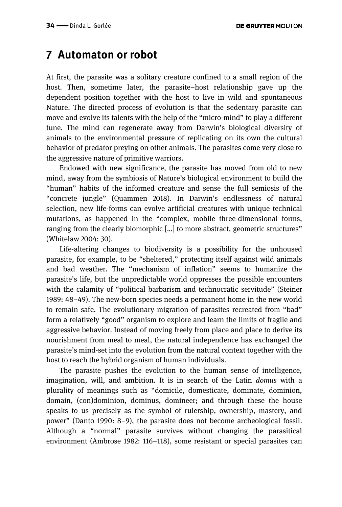## **7 Automaton or robot**

At first, the parasite was a solitary creature confined to a small region of the host. Then, sometime later, the parasite–host relationship gave up the dependent position together with the host to live in wild and spontaneous Nature. The directed process of evolution is that the sedentary parasite can move and evolve its talents with the help of the "micro-mind" to play a different tune. The mind can regenerate away from Darwin's biological diversity of animals to the environmental pressure of replicating on its own the cultural behavior of predator preying on other animals. The parasites come very close to the aggressive nature of primitive warriors.

Endowed with new significance, the parasite has moved from old to new mind, away from the symbiosis of Nature's biological environment to build the "human" habits of the informed creature and sense the full semiosis of the "concrete jungle" (Quammen 2018). In Darwin's endlessness of natural selection, new life-forms can evolve artificial creatures with unique technical mutations, as happened in the "complex, mobile three-dimensional forms, ranging from the clearly biomorphic […] to more abstract, geometric structures" (Whitelaw 2004: 30).

Life-altering changes to biodiversity is a possibility for the unhoused parasite, for example, to be "sheltered," protecting itself against wild animals and bad weather. The "mechanism of inflation" seems to humanize the parasite's life, but the unpredictable world oppresses the possible encounters with the calamity of "political barbarism and technocratic servitude" (Steiner 1989: 48–49). The new-born species needs a permanent home in the new world to remain safe. The evolutionary migration of parasites recreated from "bad" form a relatively "good" organism to explore and learn the limits of fragile and aggressive behavior. Instead of moving freely from place and place to derive its nourishment from meal to meal, the natural independence has exchanged the parasite's mind-set into the evolution from the natural context together with the host to reach the hybrid organism of human individuals.

The parasite pushes the evolution to the human sense of intelligence, imagination, will, and ambition. It is in search of the Latin *domus* with a plurality of meanings such as "domicile, domesticate, dominate, dominion, domain, (con)dominion, dominus, domineer; and through these the house speaks to us precisely as the symbol of rulership, ownership, mastery, and power" (Danto 1990: 8–9), the parasite does not become archeological fossil. Although a "normal" parasite survives without changing the parasitical environment (Ambrose 1982: 116–118), some resistant or special parasites can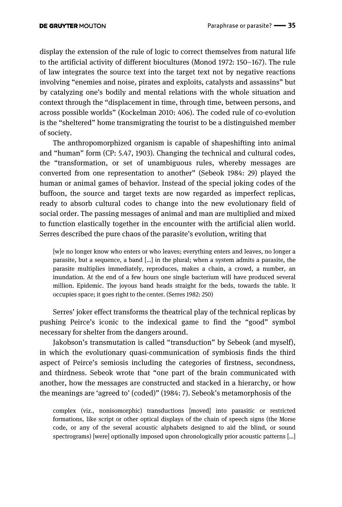display the extension of the rule of logic to correct themselves from natural life to the artificial activity of different biocultures (Monod 1972: 150–167). The rule of law integrates the source text into the target text not by negative reactions involving "enemies and noise, pirates and exploits, catalysts and assassins" but by catalyzing one's bodily and mental relations with the whole situation and context through the "displacement in time, through time, between persons, and across possible worlds" (Kockelman 2010: 406). The coded rule of co-evolution is the "sheltered" home transmigrating the tourist to be a distinguished member of society.

The anthropomorphized organism is capable of shapeshifting into animal and "human" form (CP: 5.47, 1903). Changing the technical and cultural codes, the "transformation, or set of unambiguous rules, whereby messages are converted from one representation to another" (Sebeok 1984: 29) played the human or animal games of behavior. Instead of the special joking codes of the buffoon, the source and target texts are now regarded as imperfect replicas, ready to absorb cultural codes to change into the new evolutionary field of social order. The passing messages of animal and man are multiplied and mixed to function elastically together in the encounter with the artificial alien world. Serres described the pure chaos of the parasite's evolution, writing that

[w]e no longer know who enters or who leaves; everything enters and leaves, no longer a parasite, but a sequence, a band […] in the plural; when a system admits a parasite, the parasite multiplies immediately, reproduces, makes a chain, a crowd, a number, an inundation. At the end of a few hours one single bacterium will have produced several million. Epidemic. The joyous band heads straight for the beds, towards the table. It occupies space; it goes right to the center. (Serres 1982: 250)

Serres' joker effect transforms the theatrical play of the technical replicas by pushing Peirce's iconic to the indexical game to find the "good" symbol necessary for shelter from the dangers around.

Jakobson's transmutation is called "transduction" by Sebeok (and myself), in which the evolutionary quasi-communication of symbiosis finds the third aspect of Peirce's semiosis including the categories of firstness, secondness, and thirdness. Sebeok wrote that "one part of the brain communicated with another, how the messages are constructed and stacked in a hierarchy, or how the meanings are 'agreed to' (coded)" (1984: 7). Sebeok's metamorphosis of the

complex (viz., nonisomorphic) transductions [moved] into parasitic or restricted formations, like script or other optical displays of the chain of speech signs (the Morse code, or any of the several acoustic alphabets designed to aid the blind, or sound spectrograms) [were] optionally imposed upon chronologically prior acoustic patterns […]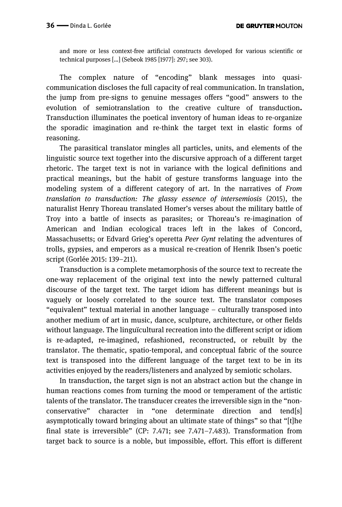and more or less context-free artificial constructs developed for various scientific or technical purposes […] (Sebeok 1985 [1977]: 297; see 303).

The complex nature of "encoding" blank messages into quasicommunication discloses the full capacity of real communication. In translation, the jump from pre-signs to genuine messages offers "good" answers to the evolution of semiotranslation to the creative culture of transduction**.**  Transduction illuminates the poetical inventory of human ideas to re-organize the sporadic imagination and re-think the target text in elastic forms of reasoning.

The parasitical translator mingles all particles, units, and elements of the linguistic source text together into the discursive approach of a different target rhetoric. The target text is not in variance with the logical definitions and practical meanings, but the habit of gesture transforms language into the modeling system of a different category of art. In the narratives of *From translation to transduction: The glassy essence of intersemiosis* (2015), the naturalist Henry Thoreau translated Homer's verses about the military battle of Troy into a battle of insects as parasites; or Thoreau's re-imagination of American and Indian ecological traces left in the lakes of Concord, Massachusetts; or Edvard Grieg's operetta *Peer Gynt* relating the adventures of trolls, gypsies, and emperors as a musical re-creation of Henrik Ibsen's poetic script (Gorlée 2015: 139–211).

Transduction is a complete metamorphosis of the source text to recreate the one-way replacement of the original text into the newly patterned cultural discourse of the target text. The target idiom has different meanings but is vaguely or loosely correlated to the source text. The translator composes "equivalent" textual material in another language – culturally transposed into another medium of art in music, dance, sculpture, architecture, or other fields without language. The linguïcultural recreation into the different script or idiom is re-adapted, re-imagined, refashioned, reconstructed, or rebuilt by the translator. The thematic, spatio-temporal, and conceptual fabric of the source text is transposed into the different language of the target text to be in its activities enjoyed by the readers/listeners and analyzed by semiotic scholars.

In transduction, the target sign is not an abstract action but the change in human reactions comes from turning the mood or temperament of the artistic talents of the translator. The transducer creates the irreversible sign in the "nonconservative" character in "one determinate direction and tend[s] asymptotically toward bringing about an ultimate state of things" so that "[t]he final state is irreversible" (CP: 7.471; see 7.471–7.483). Transformation from target back to source is a noble, but impossible, effort. This effort is different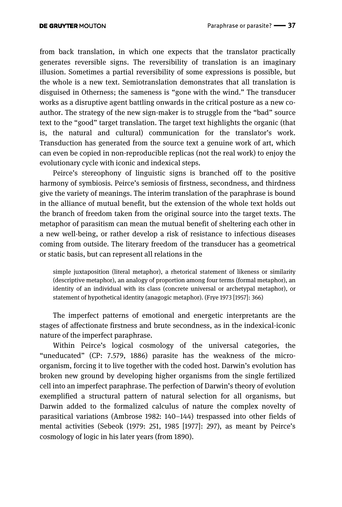from back translation, in which one expects that the translator practically generates reversible signs. The reversibility of translation is an imaginary illusion. Sometimes a partial reversibility of some expressions is possible, but the whole is a new text. Semiotranslation demonstrates that all translation is disguised in Otherness; the sameness is "gone with the wind." The transducer works as a disruptive agent battling onwards in the critical posture as a new coauthor. The strategy of the new sign-maker is to struggle from the "bad" source text to the "good" target translation. The target text highlights the organic (that is, the natural and cultural) communication for the translator's work. Transduction has generated from the source text a genuine work of art, which can even be copied in non-reproducible replicas (not the real work) to enjoy the evolutionary cycle with iconic and indexical steps.

Peirce's stereophony of linguistic signs is branched off to the positive harmony of symbiosis. Peirce's semiosis of firstness, secondness, and thirdness give the variety of meanings. The interim translation of the paraphrase is bound in the alliance of mutual benefit, but the extension of the whole text holds out the branch of freedom taken from the original source into the target texts. The metaphor of parasitism can mean the mutual benefit of sheltering each other in a new well-being, or rather develop a risk of resistance to infectious diseases coming from outside. The literary freedom of the transducer has a geometrical or static basis, but can represent all relations in the

simple juxtaposition (literal metaphor), a rhetorical statement of likeness or similarity (descriptive metaphor), an analogy of proportion among four terms (formal metaphor), an identity of an individual with its class (concrete universal or archetypal metaphor), or statement of hypothetical identity (anagogic metaphor). (Frye 1973 [1957]: 366)

The imperfect patterns of emotional and energetic interpretants are the stages of affectionate firstness and brute secondness, as in the indexical-iconic nature of the imperfect paraphrase.

Within Peirce's logical cosmology of the universal categories, the "uneducated" (CP: 7.579, 1886) parasite has the weakness of the microorganism, forcing it to live together with the coded host. Darwin's evolution has broken new ground by developing higher organisms from the single fertilized cell into an imperfect paraphrase. The perfection of Darwin's theory of evolution exemplified a structural pattern of natural selection for all organisms, but Darwin added to the formalized calculus of nature the complex novelty of parasitical variations (Ambrose 1982: 140–144) trespassed into other fields of mental activities (Sebeok (1979: 251, 1985 [1977]: 297), as meant by Peirce's cosmology of logic in his later years (from 1890).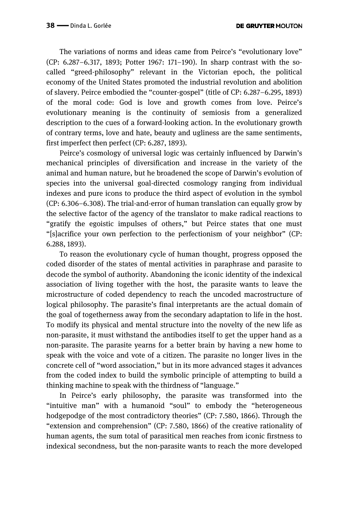The variations of norms and ideas came from Peirce's "evolutionary love" (CP: 6.287–6.317, 1893; Potter 1967: 171–190). In sharp contrast with the socalled "greed-philosophy" relevant in the Victorian epoch, the political economy of the United States promoted the industrial revolution and abolition of slavery. Peirce embodied the "counter-gospel" (title of CP: 6.287–6.295, 1893) of the moral code: God is love and growth comes from love. Peirce's evolutionary meaning is the continuity of semiosis from a generalized description to the cues of a forward-looking action. In the evolutionary growth of contrary terms, love and hate, beauty and ugliness are the same sentiments, first imperfect then perfect (CP: 6.287, 1893).

Peirce's cosmology of universal logic was certainly influenced by Darwin's mechanical principles of diversification and increase in the variety of the animal and human nature, but he broadened the scope of Darwin's evolution of species into the universal goal-directed cosmology ranging from individual indexes and pure icons to produce the third aspect of evolution in the symbol (CP: 6.306–6.308). The trial-and-error of human translation can equally grow by the selective factor of the agency of the translator to make radical reactions to "gratify the egoistic impulses of others," but Peirce states that one must "[s]acrifice your own perfection to the perfectionism of your neighbor" (CP: 6.288, 1893).

To reason the evolutionary cycle of human thought, progress opposed the coded disorder of the states of mental activities in paraphrase and parasite to decode the symbol of authority. Abandoning the iconic identity of the indexical association of living together with the host, the parasite wants to leave the microstructure of coded dependency to reach the uncoded macrostructure of logical philosophy. The parasite's final interpretants are the actual domain of the goal of togetherness away from the secondary adaptation to life in the host. To modify its physical and mental structure into the novelty of the new life as non-parasite, it must withstand the antibodies itself to get the upper hand as a non-parasite. The parasite yearns for a better brain by having a new home to speak with the voice and vote of a citizen. The parasite no longer lives in the concrete cell of "word association," but in its more advanced stages it advances from the coded index to build the symbolic principle of attempting to build a thinking machine to speak with the thirdness of "language."

In Peirce's early philosophy, the parasite was transformed into the "intuitive man" with a humanoid "soul" to embody the "heterogeneous hodgepodge of the most contradictory theories" (CP: 7.580, 1866). Through the "extension and comprehension" (CP: 7.580, 1866) of the creative rationality of human agents, the sum total of parasitical men reaches from iconic firstness to indexical secondness, but the non-parasite wants to reach the more developed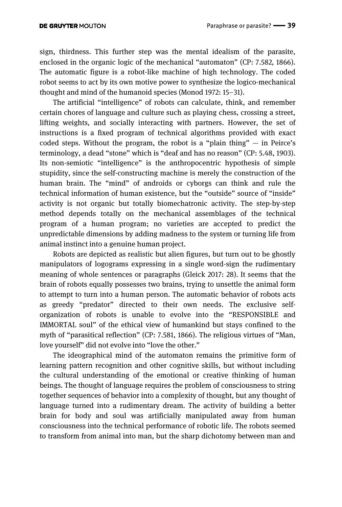sign, thirdness. This further step was the mental idealism of the parasite, enclosed in the organic logic of the mechanical "automaton" (CP: 7.582, 1866). The automatic figure is a robot-like machine of high technology. The coded robot seems to act by its own motive power to synthesize the logico-mechanical thought and mind of the humanoid species (Monod 1972: 15–31).

The artificial "intelligence" of robots can calculate, think, and remember certain chores of language and culture such as playing chess, crossing a street, lifting weights, and socially interacting with partners. However, the set of instructions is a fixed program of technical algorithms provided with exact coded steps. Without the program, the robot is a "plain thing"  $-$  in Peirce's terminology, a dead "stone" which is "deaf and has no reason" (CP: 5.48, 1903). Its non-semiotic "intelligence" is the anthropocentric hypothesis of simple stupidity, since the self-constructing machine is merely the construction of the human brain. The "mind" of androids or cyborgs can think and rule the technical information of human existence, but the "outside" source of "inside" activity is not organic but totally biomechatronic activity. The step-by-step method depends totally on the mechanical assemblages of the technical program of a human program; no varieties are accepted to predict the unpredictable dimensions by adding madness to the system or turning life from animal instinct into a genuine human project.

Robots are depicted as realistic but alien figures, but turn out to be ghostly manipulators of logograms expressing in a single word-sign the rudimentary meaning of whole sentences or paragraphs (Gleick 2017: 28). It seems that the brain of robots equally possesses two brains, trying to unsettle the animal form to attempt to turn into a human person. The automatic behavior of robots acts as greedy "predator" directed to their own needs. The exclusive selforganization of robots is unable to evolve into the "RESPONSIBLE and IMMORTAL soul" of the ethical view of humankind but stays confined to the myth of "parasitical reflection" (CP: 7.581, 1866). The religious virtues of "Man, love yourself" did not evolve into "love the other."

The ideographical mind of the automaton remains the primitive form of learning pattern recognition and other cognitive skills, but without including the cultural understanding of the emotional or creative thinking of human beings. The thought of language requires the problem of consciousness to string together sequences of behavior into a complexity of thought, but any thought of language turned into a rudimentary dream. The activity of building a better brain for body and soul was artificially manipulated away from human consciousness into the technical performance of robotic life. The robots seemed to transform from animal into man, but the sharp dichotomy between man and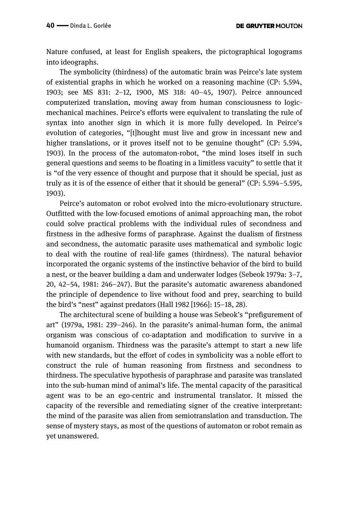Nature confused, at least for English speakers, the pictographical logograms into ideographs.

The symbolicity (thirdness) of the automatic brain was Peirce's late system of existential graphs in which he worked on a reasoning machine (CP: 5.594, 1903; see MS 831: 2–12, 1900, MS 318: 40–45, 1907). Peirce announced computerized translation, moving away from human consciousness to logicmechanical machines. Peirce's efforts were equivalent to translating the rule of syntax into another sign in which it is more fully developed. In Peirce's evolution of categories, "[t]hought must live and grow in incessant new and higher translations, or it proves itself not to be genuine thought" (CP: 5.594, 1903). In the process of the automaton-robot, "the mind loses itself in such general questions and seems to be floating in a limitless vacuity" to settle that it is "of the very essence of thought and purpose that it should be special, just as truly as it is of the essence of either that it should be general" (CP: 5.594–5.595, 1903).

Peirce's automaton or robot evolved into the micro-evolutionary structure. Outfitted with the low-focused emotions of animal approaching man, the robot could solve practical problems with the individual rules of secondness and firstness in the adhesive forms of paraphrase. Against the dualism of firstness and secondness, the automatic parasite uses mathematical and symbolic logic to deal with the routine of real-life games (thirdness). The natural behavior incorporated the organic systems of the instinctive behavior of the bird to build a nest, or the beaver building a dam and underwater lodges (Sebeok 1979a: 3–7, 20, 42–54, 1981: 246–247). But the parasite's automatic awareness abandoned the principle of dependence to live without food and prey, searching to build the bird's "nest" against predators (Hall 1982 [1966]: 15–18, 28).

The architectural scene of building a house was Sebeok's "prefigurement of art" (1979a, 1981: 239–246). In the parasite's animal-human form, the animal organism was conscious of co-adaptation and modification to survive in a humanoid organism. Thirdness was the parasite's attempt to start a new life with new standards, but the effort of codes in symbolicity was a noble effort to construct the rule of human reasoning from firstness and secondness to thirdness. The speculative hypothesis of paraphrase and parasite was translated into the sub-human mind of animal's life. The mental capacity of the parasitical agent was to be an ego-centric and instrumental translator. It missed the capacity of the reversible and remediating signer of the creative interpretant: the mind of the parasite was alien from semiotranslation and transduction. The sense of mystery stays, as most of the questions of automaton or robot remain as yet unanswered.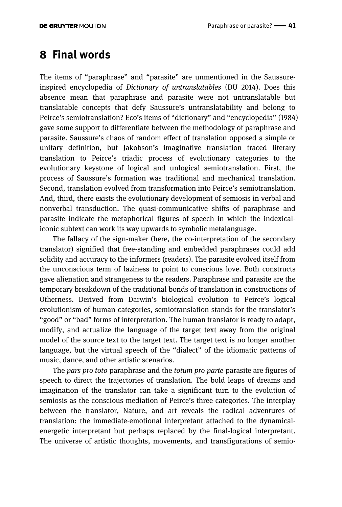### **8 Final words**

The items of "paraphrase" and "parasite" are unmentioned in the Saussureinspired encyclopedia of *Dictionary of untranslatables* (DU 2014). Does this absence mean that paraphrase and parasite were not untranslatable but translatable concepts that defy Saussure's untranslatability and belong to Peirce's semiotranslation? Eco's items of "dictionary" and "encyclopedia" (1984) gave some support to differentiate between the methodology of paraphrase and parasite. Saussure's chaos of random effect of translation opposed a simple or unitary definition, but Jakobson's imaginative translation traced literary translation to Peirce's triadic process of evolutionary categories to the evolutionary keystone of logical and unlogical semiotranslation. First, the process of Saussure's formation was traditional and mechanical translation. Second, translation evolved from transformation into Peirce's semiotranslation. And, third, there exists the evolutionary development of semiosis in verbal and nonverbal transduction. The quasi-communicative shifts of paraphrase and parasite indicate the metaphorical figures of speech in which the indexicaliconic subtext can work its way upwards to symbolic metalanguage.

The fallacy of the sign-maker (here, the co-interpretation of the secondary translator) signified that free-standing and embedded paraphrases could add solidity and accuracy to the informers (readers). The parasite evolved itself from the unconscious term of laziness to point to conscious love. Both constructs gave alienation and strangeness to the readers. Paraphrase and parasite are the temporary breakdown of the traditional bonds of translation in constructions of Otherness. Derived from Darwin's biological evolution to Peirce's logical evolutionism of human categories, semiotranslation stands for the translator's "good" or "bad" forms of interpretation. The human translator is ready to adapt, modify, and actualize the language of the target text away from the original model of the source text to the target text. The target text is no longer another language, but the virtual speech of the "dialect" of the idiomatic patterns of music, dance, and other artistic scenarios.

The *pars pro toto* paraphrase and the *totum pro parte* parasite are figures of speech to direct the trajectories of translation. The bold leaps of dreams and imagination of the translator can take a significant turn to the evolution of semiosis as the conscious mediation of Peirce's three categories. The interplay between the translator, Nature, and art reveals the radical adventures of translation: the immediate-emotional interpretant attached to the dynamicalenergetic interpretant but perhaps replaced by the final-logical interpretant. The universe of artistic thoughts, movements, and transfigurations of semio-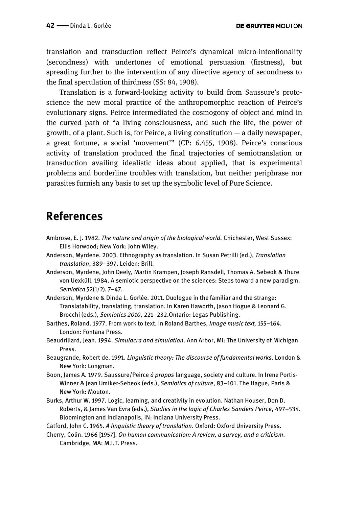translation and transduction reflect Peirce's dynamical micro-intentionality (secondness) with undertones of emotional persuasion (firstness), but spreading further to the intervention of any directive agency of secondness to the final speculation of thirdness (SS: 84, 1908).

Translation is a forward-looking activity to build from Saussure's protoscience the new moral practice of the anthropomorphic reaction of Peirce's evolutionary signs. Peirce intermediated the cosmogony of object and mind in the curved path of "a living consciousness, and such the life, the power of growth, of a plant. Such is, for Peirce, a living constitution  $-$  a daily newspaper, a great fortune, a social 'movement'" (CP: 6.455, 1908). Peirce's conscious activity of translation produced the final trajectories of semiotranslation or transduction availing idealistic ideas about applied, that is experimental problems and borderline troubles with translation, but neither periphrase nor parasites furnish any basis to set up the symbolic level of Pure Science.

### **References**

- Ambrose, E. J. 1982. *The nature and origin of the biological world.* Chichester, West Sussex: Ellis Horwood; New York: John Wiley.
- Anderson, Myrdene. 2003. Ethnography as translation. In Susan Petrilli (ed.), *Translation translation*, 389–397. Leiden: Brill.
- Anderson, Myrdene, John Deely, Martin Krampen, Joseph Ransdell, Thomas A. Sebeok & Thure von Uexküll. 1984. A semiotic perspective on the sciences: Steps toward a new paradigm. *Semiotica* 52(1/2). 7–47.
- Anderson, Myrdene & Dinda L. Gorlée. 2011. Duologue in the familiar and the strange: Translatability, translating, translation. In Karen Haworth, Jason Hogue & Leonard G. Brocchi (eds.), *Semiotics 2010*, 221–232.Ontario: Legas Publishing.
- Barthes, Roland. 1977. From work to text. In Roland Barthes, *Image music text,* 155–164. London: Fontana Press.
- Beaudrillard, Jean. 1994. *Simulacra and simulation*. Ann Arbor, MI: The University of Michigan Press.
- Beaugrande, Robert de. 1991. *Linguistic theory: The discourse of fundamental works.* London & New York: Longman.
- Boon, James A. 1979. Saussure/Peirce *à propos* language, society and culture. In Irene Portis-Winner & Jean Umiker-Sebeok (eds.), *Semiotics of culture*, 83–101. The Hague, Paris & New York: Mouton.
- Burks, Arthur W. 1997. Logic, learning, and creativity in evolution. Nathan Houser, Don D. Roberts, & James Van Evra (eds.), *Studies in the logic of Charles Sanders Peirce*, 497–534. Bloomington and Indianapolis, IN: Indiana University Press.

Catford, John C. 1965. *A linguistic theory of translation*. Oxford: Oxford University Press.

Cherry, Colin. 1966 [1957]. *On human communication: A review, a survey, and a criticism*. Cambridge, MA: M.I.T. Press.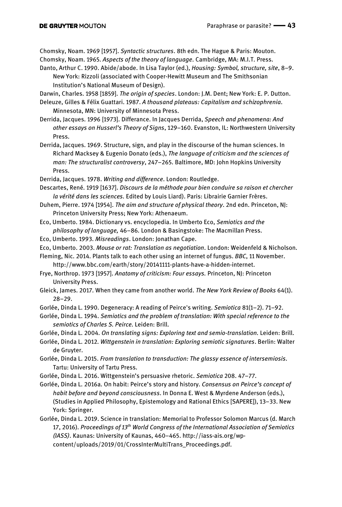Chomsky, Noam. 1969 [1957]. *Syntactic structures*. 8th edn. The Hague & Paris: Mouton. Chomsky, Noam. 1965. *Aspects of the theory of language*. Cambridge, MA: M.I.T. Press.

Danto, Arthur C. 1990. Abide/abode. In Lisa Taylor (ed.), *Housing: Symbol, structure, site*, 8–9. New York: Rizzoli (associated with Cooper-Hewitt Museum and The Smithsonian Institution's National Museum of Design).

Darwin, Charles. 1958 [1859]. *The origin of species*. London: J.M. Dent; New York: E. P. Dutton.

Deleuze, Gilles & Félix Guattari. 1987. *A thousand plateaus: Capitalism and schizophrenia*. Minnesota, MN: University of Minnesota Press.

Derrida, Jacques. 1996 [1973]. Differance. In Jacques Derrida, *Speech and phenomena: And other essays on Husserl's Theory of Signs*, 129–160. Evanston, IL: Northwestern University Press.

Derrida, Jacques. 1969. Structure, sign, and play in the discourse of the human sciences. In Richard Macksey & Eugenio Donato (eds.), *The language of criticism and the sciences of man: The structuralist controversy*, 247–265. Baltimore, MD: John Hopkins University Press.

- Derrida, Jacques. 1978. *Writing and difference*. London: Routledge.
- Descartes, René. 1919 [1637]. *Discours de la méthode pour bien conduire sa raison et chercher la vérité dans les sciences.* Edited by Louis Liard). Paris: Librairie Garnier Frères.
- Duhem, Pierre. 1974 [1954]. *The aim and structure of physical theory*. 2nd edn. Princeton, NJ: Princeton University Press; New York: Athenaeum.
- Eco, Umberto. 1984. Dictionary vs. encyclopedia. In Umberto Eco, *Semiotics and the philosophy of language,* 46–86*.* London & Basingstoke: The Macmillan Press.
- Eco, Umberto. 1993. *Misreadings*. London: Jonathan Cape.
- Eco, Umberto. 2003. *Mouse or rat: Translation as negotiation*. London: Weidenfeld & Nicholson.
- Fleming, Nic. 2014. Plants talk to each other using an internet of fungus. *BBC*, 11 November. http://www.bbc.com/earth/story/20141111-plants-have-a-hidden-internet.
- Frye, Northrop. 1973 [1957]. *Anatomy of criticism: Four essays.* Princeton, NJ: Princeton University Press.
- Gleick, James. 2017. When they came from another world. *The New York Review of Books* 64(1). 28–29.

Gorlée, Dinda L. 1990. Degeneracy: A reading of Peirce's writing. *Semiotica* 81(1–2). 71–92.

Gorlée, Dinda L. 1994. *Semiotics and the problem of translation: With special reference to the semiotics of Charles S. Peirce.* Leiden: Brill.

Gorlée, Dinda L. 2004. *On translating signs: Exploring text and semio-translation.* Leiden: Brill.

Gorlée, Dinda L. 2012. *Wittgenstein in translation: Exploring semiotic signatures*. Berlin: Walter de Gruyter.

Gorlée, Dinda L. 2015. *From translation to transduction: The glassy essence of intersemiosis*. Tartu: University of Tartu Press.

Gorlée, Dinda L. 2016. Wittgenstein's persuasive rhetoric. *Semiotica* 208. 47–77.

Gorlée, Dinda L. 2016a. On habit: Peirce's story and history. *Consensus on Peirce's concept of habit before and beyond consciousness*. In Donna E. West & Myrdene Anderson (eds.), (Studies in Applied Philosophy, Epistemology and Rational Ethics [SAPERE]), 13–33. New York: Springer.

Gorlée, Dinda L. 2019. Science in translation: Memorial to Professor Solomon Marcus (d. March 17, 2016). *Proceedings of 13th World Congress of the International Association of Semiotics (IASS)*. Kaunas: University of Kaunas, 460–465. http://iass-ais.org/wpcontent/uploads/2019/01/CrossInterMultiTrans\_Proceedings.pdf.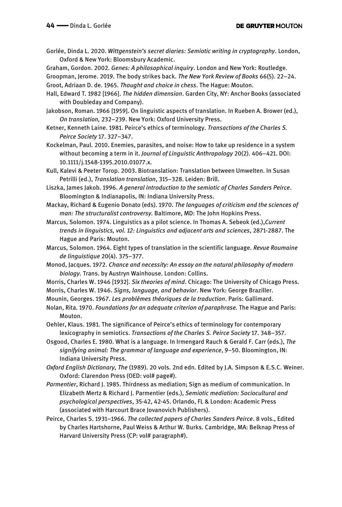Gorlée, Dinda L. 2020. *Wittgenstein's secret diaries: Semiotic writing in cryptography*. London, Oxford & New York: Bloomsbury Academic.

Graham, Gordon. 2002. *Genes: A philosophical inquiry*. London and New York: Routledge.

Groopman, Jerome. 2019. The body strikes back. *The New York Review of Books* 66(5). 22–24. Groot, Adriaan D. de. 1965. *Thought and choice in chess*. The Hague: Mouton.

- Hall, Edward T. 1982 [1966]. *The hidden dimension*. Garden City, NY: Anchor Books (associated with Doubleday and Company).
- Jakobson, Roman. 1966 [1959]. On linguistic aspects of translation. In Rueben A. Brower (ed.), *On translation,* 232–239. New York: Oxford University Press.
- Ketner, Kenneth Laine. 1981. Peirce's ethics of terminology. *Transactions of the Charles S. Peirce Society* 17. 327–347.
- Kockelman, Paul. 2010. Enemies, parasites, and noise: How to take up residence in a system without becoming a term in it. *Journal of Linguistic Anthropology* 20(2). 406–421. DOI: 10.1111/j.1548-1395.2010.01077.x.
- Kull, Kalevi & Peeter Torop. 2003. Biotranslation: Translation between Umwelten. In Susan Petrilli (ed.), *Translation translation*, 315–328. Leiden: Brill.
- Liszka, James Jakob. 1996. *A general introduction to the semiotic of Charles Sanders Peirce*. Bloomington & Indianapolis, IN: Indiana University Press.
- Mackay, Richard & Eugenio Donato (eds). 1970. *The languages of criticism and the sciences of man: The structuralist controversy.* Baltimore, MD: The John Hopkins Press.
- Marcus, Solomon. 1974. Linguistics as a pilot science. In Thomas A. Sebeok (ed.),*Current trends in linguistics, vol. 12: Linguistics and adjacent arts and sciences*, 2871-2887. The Hague and Paris: Mouton.
- Marcus, Solomon. 1964. Eight types of translation in the scientific language. *Revue Roumaine de linguistique* 20(4). 375–377.
- Monod, Jacques. 1972. *Chance and necessity: An essay on the natural philosophy of modern biology.* Trans. by Austryn Wainhouse. London: Collins.
- Morris, Charles W. 1946 [1932]. *Six theories of mind*. Chicago: The University of Chicago Press.
- Morris, Charles W. 1946. *Signs, language, and behavior*. New York: George Braziller.
- Mounin, Georges. 1967. *Les problèmes théoriques de la traduction*. Paris: Gallimard.
- Nolan, Rita. 1970. *Foundations for an adequate criterion of paraphrase.* The Hague and Paris: Mouton.
- Oehler, Klaus. 1981. The significance of Peirce's ethics of terminology for contemporary lexicography in semiotics. *Transactions of the Charles S. Peirce Society* 17. 348–357.
- Osgood, Charles E. 1980. What is a language. In Irmengard Rauch & Gerald F. Carr (eds.), *The signifying animal: The grammar of language and experience*, 9–50. Bloomington, IN: Indiana University Press.
- *Oxford English Dictionary, The* (1989). 20 vols. 2nd edn. Edited by J.A. Simpson & E.S.C. Weiner. Oxford: Clarendon Press (OED: vol# page#).
- *Parmentier*, Richard J. 1985. Thirdness as mediation; Sign as medium of communication. In Elizabeth Mertz & Richard J. Parmentier (eds.), *Semiotic mediation: Sociocultural and psychological perspectives*, 35-42, 42-45. Orlando, FL & London: Academic Press (associated with Harcourt Brace Jovanovich Publishers).
- Peirce, Charles S. 1931–1966. *The collected papers of Charles Sanders Peirce*. 8 vols., Edited by Charles Hartshorne, Paul Weiss & Arthur W. Burks. Cambridge, MA: Belknap Press of Harvard University Press (CP: vol# paragraph#).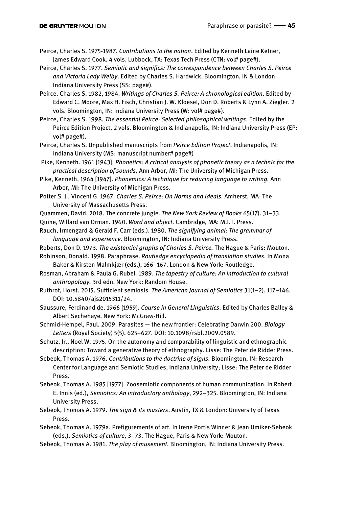- Peirce, Charles S. 1975-1987. *Contributions to the nation*. Edited by Kenneth Laine Ketner, James Edward Cook. 4 vols. Lubbock, TX: Texas Tech Press (CTN: vol# page#).
- Peirce, Charles S. 1977. *Semiotic and significs: The correspondence between Charles S. Peirce and Victoria Lady Welby*. Edited by Charles S. Hardwick. Bloomington, IN & London: Indiana University Press (SS: page#).
- Peirce, Charles S. 1982, 1984. *Writings of Charles S. Peirce: A chronological edition*. Edited by Edward C. Moore, Max H. Fisch, Christian J. W. Kloesel, Don D. Roberts & Lynn A. Ziegler. 2 vols. Bloomington, IN: Indiana University Press (W: vol# page#).
- Peirce, Charles S. 1998. *The essential Peirce: Selected philosophical writings*. Edited by the Peirce Edition Project, 2 vols. Bloomington & Indianapolis, IN: Indiana University Press (EP: vol# page#).
- Peirce, Charles S. Unpublished manuscripts from *Peirce Edition Project*. Indianapolis, IN: Indiana University (MS: manuscript number# page#)
- Pike, Kenneth. 1961 [1943]. *Phonetics: A critical analysis of phonetic theory as a technic for the practical description of sounds.* Ann Arbor, MI: The University of Michigan Press.
- Pike, Kenneth. 1964 [1947]. *Phonemics: A technique for reducing language to writing.* Ann Arbor, MI: The University of Michigan Press.
- Potter S. J., Vincent G. 1967. *Charles S. Peirce: On Norms and Ideals.* Amherst, MA: The University of Massachusetts Press.
- Quammen, David. 2018. The concrete jungle. *The New York Review of Books* 65(17). 31–33.
- Quine, Willard van Orman. 1960. *Word and object*. Cambridge, MA: M.I.T. Press.
- Rauch, Irmengard & Gerald F. Carr (eds.). 1980. *The signifying animal: The grammar of language and experience*. Bloomington, IN: Indiana University Press.
- Roberts, Don D. 1973. *The existential graphs of Charles S. Peirce.* The Hague & Paris: Mouton.
- Robinson, Donald. 1998. Paraphrase. *Routledge encyclopedia of translation studies*. In Mona Baker & Kirsten Malmkjær (eds.), 166–167. London & New York: Routledge.
- Rosman, Abraham & Paula G. Rubel. 1989. *The tapestry of culture: An introduction to cultural anthropology.* 3rd edn. New York: Random House.
- Ruthrof, Horst. 2015. Sufficient semiosis. *The American Journal of Semiotics* 31(1–2). 117–146. DOI: 10.5840/ajs2015311/24.
- Saussure, Ferdinand de. 1966 [1959]. *Course in General Linguistics*. Edited by Charles Balley & Albert Sechehaye. New York: McGraw-Hill.
- Schmid-Hempel, Paul. 2009. Parasites the new frontier: Celebrating Darwin 200. *Biology Letters* (Royal Society) 5(5). 625–627. DOI: 10.1098/rsbl.2009.0589.
- Schutz, Jr., Noel W. 1975. On the autonomy and comparability of linguistic and ethnographic description: Toward a generative theory of ethnography. Lisse: The Peter de Ridder Press.
- Sebeok, Thomas A. 1976. *Contributions to the doctrine of signs.* Bloomington, IN: Research Center for Language and Semiotic Studies, Indiana University; Lisse: The Peter de Ridder Press.
- Sebeok, Thomas A. 1985 [1977]. Zoosemiotic components of human communication. In Robert E. Innis (ed.), *Semiotics: An introductory anthology*, 292–325. Bloomington, IN: Indiana University Press,
- Sebeok, Thomas A. 1979. *The sign & its masters*. Austin, TX & London: University of Texas Press.
- Sebeok, Thomas A. 1979a. Prefigurements of art. In Irene Portis Winner & Jean Umiker-Sebeok (eds.), *Semiotics of culture*, 3–73. The Hague, Paris & New York: Mouton.
- Sebeok, Thomas A. 1981. *The play of musement*. Bloomington, IN: Indiana University Press.